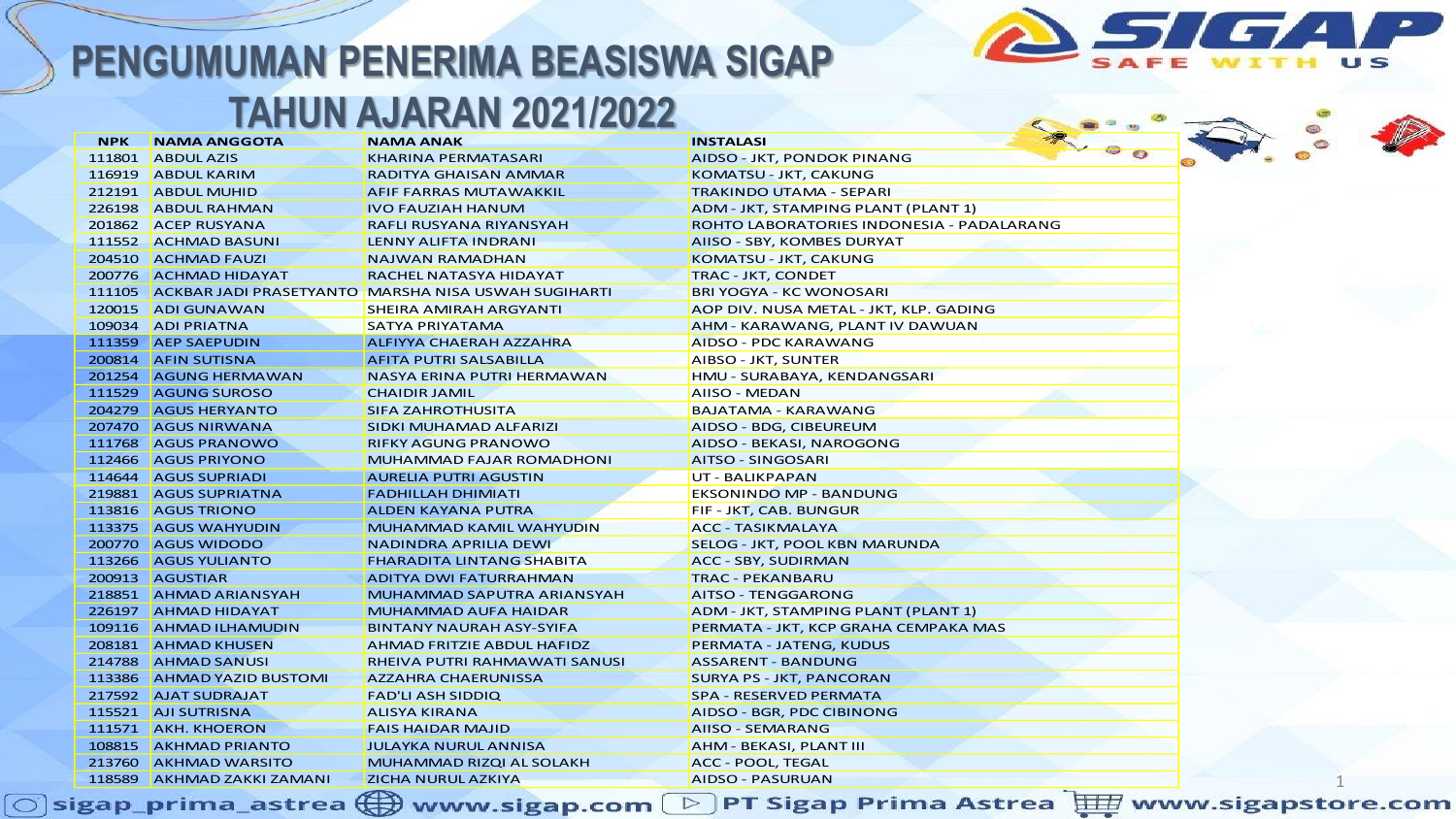

#### **TAHUN AJARAN 2021/2022**

| <b>NPK</b><br><b>NAMA ANGGOTA</b><br><b>NAMA ANAK</b><br><b>INSTALASI</b><br>111801 ABDUL AZIS<br><b>KHARINA PERMATASARI</b><br>AIDSO - JKT, PONDOK PINANG<br>116919 ABDUL KARIM<br>KOMATSU - JKT, CAKUNG<br><b>RADITYA GHAISAN AMMAR</b><br>212191 ABDUL MUHID<br><b>AFIF FARRAS MUTAWAKKIL</b><br><b>TRAKINDO UTAMA - SEPARI</b><br>226198<br><b>ABDUL RAHMAN</b><br>ADM - JKT, STAMPING PLANT (PLANT 1)<br><b>IVO FAUZIAH HANUM</b><br>201862 ACEP RUSYANA<br>ROHTO LABORATORIES INDONESIA - PADALARANG<br>RAFLI RUSYANA RIYANSYAH<br>111552 ACHMAD BASUNI<br>LENNY ALIFTA INDRANI<br>AIISO - SBY, KOMBES DURYAT<br>204510 ACHMAD FAUZI<br><b>NAJWAN RAMADHAN</b><br>KOMATSU - JKT, CAKUNG<br>200776 ACHMAD HIDAYAT<br><b>RACHEL NATASYA HIDAYAT</b><br>TRAC - JKT, CONDET<br>111105 ACKBAR JADI PRASETYANTO MARSHA NISA USWAH SUGIHARTI<br><b>BRI YOGYA - KC WONOSARI</b><br>120015 ADI GUNAWAN<br><b>SHEIRA AMIRAH ARGYANTI</b><br>AOP DIV. NUSA METAL - JKT, KLP. GADING<br>109034 ADI PRIATNA<br><b>SATYA PRIYATAMA</b><br>AHM - KARAWANG, PLANT IV DAWUAN<br>111359 AEP SAEPUDIN<br>AIDSO - PDC KARAWANG<br><b>ALFIYYA CHAERAH AZZAHRA</b><br>200814 AFIN SUTISNA<br><b>AFITA PUTRI SALSABILLA</b><br>AIBSO - JKT, SUNTER<br>201254 AGUNG HERMAWAN<br>NASYA ERINA PUTRI HERMAWAN<br>HMU - SURABAYA, KENDANGSARI<br>111529 AGUNG SUROSO<br>AIISO - MEDAN<br><b>CHAIDIR JAMIL</b><br>204279 AGUS HERYANTO<br><b>SIFA ZAHROTHUSITA</b><br><b>BAJATAMA - KARAWANG</b><br>207470 AGUS NIRWANA<br>SIDKI MUHAMAD ALFARIZI<br>AIDSO - BDG, CIBEUREUM<br>111768 AGUS PRANOWO<br><b>RIFKY AGUNG PRANOWO</b><br>AIDSO - BEKASI, NAROGONG<br>112466 AGUS PRIYONO<br><b>MUHAMMAD FAJAR ROMADHONI</b><br>AITSO - SINGOSARI<br>114644 AGUS SUPRIADI<br><b>AURELIA PUTRI AGUSTIN</b><br>UT - BALIKPAPAN<br>219881 AGUS SUPRIATNA<br><b>FADHILLAH DHIMIATI</b><br><b>EKSONINDO MP - BANDUNG</b><br>113816 AGUS TRIONO<br><b>ALDEN KAYANA PUTRA</b><br>FIF - JKT, CAB. BUNGUR<br>113375 AGUS WAHYUDIN<br><b>MUHAMMAD KAMIL WAHYUDIN</b><br><b>ACC - TASIKMALAYA</b><br>200770 AGUS WIDODO<br><b>NADINDRA APRILIA DEWI</b><br>SELOG - JKT, POOL KBN MARUNDA<br>113266 AGUS YULIANTO<br><b>FHARADITA LINTANG SHABITA</b><br>ACC - SBY, SUDIRMAN<br>200913 AGUSTIAR<br><b>ADITYA DWI FATURRAHMAN</b><br><b>TRAC - PEKANBARU</b><br>218851 AHMAD ARIANSYAH<br><b>MUHAMMAD SAPUTRA ARIANSYAH</b><br>AITSO - TENGGARONG<br>226197 AHMAD HIDAYAT<br>ADM - JKT, STAMPING PLANT (PLANT 1)<br><b>MUHAMMAD AUFA HAIDAR</b><br>109116 AHMAD ILHAMUDIN<br><b>BINTANY NAURAH ASY-SYIFA</b><br>PERMATA - JKT, KCP GRAHA CEMPAKA MAS<br>208181 AHMAD KHUSEN<br>AHMAD FRITZIE ABDUL HAFIDZ<br>PERMATA - JATENG, KUDUS<br>214788 AHMAD SANUSI<br><b>RHEIVA PUTRI RAHMAWATI SANUSI</b><br><b>ASSARENT - BANDUNG</b><br>113386 AHMAD YAZID BUSTOMI<br><b>AZZAHRA CHAERUNISSA</b><br><b>SURYA PS - JKT, PANCORAN</b><br>217592 AJAT SUDRAJAT<br><b>SPA - RESERVED PERMATA</b><br><b>FAD'LI ASH SIDDIQ</b><br>115521 AJI SUTRISNA<br><b>ALISYA KIRANA</b><br>AIDSO - BGR, PDC CIBINONG<br>111571 AKH. KHOERON<br><b>AIISO - SEMARANG</b><br><b>FAIS HAIDAR MAJID</b><br>108815 AKHMAD PRIANTO<br><b>JULAYKA NURUL ANNISA</b><br>AHM - BEKASI, PLANT III<br>213760 AKHMAD WARSITO<br><b>MUHAMMAD RIZQI AL SOLAKH</b><br>ACC - POOL, TEGAL<br>118589 AKHMAD ZAKKI ZAMANI<br><b>ZICHA NURUL AZKIYA</b><br>AIDSO - PASURUAN |  | <u>IANUN AJAKAN ZUZ IIZUZZ</u> |  |
|-----------------------------------------------------------------------------------------------------------------------------------------------------------------------------------------------------------------------------------------------------------------------------------------------------------------------------------------------------------------------------------------------------------------------------------------------------------------------------------------------------------------------------------------------------------------------------------------------------------------------------------------------------------------------------------------------------------------------------------------------------------------------------------------------------------------------------------------------------------------------------------------------------------------------------------------------------------------------------------------------------------------------------------------------------------------------------------------------------------------------------------------------------------------------------------------------------------------------------------------------------------------------------------------------------------------------------------------------------------------------------------------------------------------------------------------------------------------------------------------------------------------------------------------------------------------------------------------------------------------------------------------------------------------------------------------------------------------------------------------------------------------------------------------------------------------------------------------------------------------------------------------------------------------------------------------------------------------------------------------------------------------------------------------------------------------------------------------------------------------------------------------------------------------------------------------------------------------------------------------------------------------------------------------------------------------------------------------------------------------------------------------------------------------------------------------------------------------------------------------------------------------------------------------------------------------------------------------------------------------------------------------------------------------------------------------------------------------------------------------------------------------------------------------------------------------------------------------------------------------------------------------------------------------------------------------------------------------------------------------------------------------------------------------------------------------------------------------------------------------------------------------------------------------------------------------------------------------------------------------------------------------------------------------------------------------------------------------------------------------------------------------|--|--------------------------------|--|
|                                                                                                                                                                                                                                                                                                                                                                                                                                                                                                                                                                                                                                                                                                                                                                                                                                                                                                                                                                                                                                                                                                                                                                                                                                                                                                                                                                                                                                                                                                                                                                                                                                                                                                                                                                                                                                                                                                                                                                                                                                                                                                                                                                                                                                                                                                                                                                                                                                                                                                                                                                                                                                                                                                                                                                                                                                                                                                                                                                                                                                                                                                                                                                                                                                                                                                                                                                                         |  |                                |  |
|                                                                                                                                                                                                                                                                                                                                                                                                                                                                                                                                                                                                                                                                                                                                                                                                                                                                                                                                                                                                                                                                                                                                                                                                                                                                                                                                                                                                                                                                                                                                                                                                                                                                                                                                                                                                                                                                                                                                                                                                                                                                                                                                                                                                                                                                                                                                                                                                                                                                                                                                                                                                                                                                                                                                                                                                                                                                                                                                                                                                                                                                                                                                                                                                                                                                                                                                                                                         |  |                                |  |
|                                                                                                                                                                                                                                                                                                                                                                                                                                                                                                                                                                                                                                                                                                                                                                                                                                                                                                                                                                                                                                                                                                                                                                                                                                                                                                                                                                                                                                                                                                                                                                                                                                                                                                                                                                                                                                                                                                                                                                                                                                                                                                                                                                                                                                                                                                                                                                                                                                                                                                                                                                                                                                                                                                                                                                                                                                                                                                                                                                                                                                                                                                                                                                                                                                                                                                                                                                                         |  |                                |  |
|                                                                                                                                                                                                                                                                                                                                                                                                                                                                                                                                                                                                                                                                                                                                                                                                                                                                                                                                                                                                                                                                                                                                                                                                                                                                                                                                                                                                                                                                                                                                                                                                                                                                                                                                                                                                                                                                                                                                                                                                                                                                                                                                                                                                                                                                                                                                                                                                                                                                                                                                                                                                                                                                                                                                                                                                                                                                                                                                                                                                                                                                                                                                                                                                                                                                                                                                                                                         |  |                                |  |
|                                                                                                                                                                                                                                                                                                                                                                                                                                                                                                                                                                                                                                                                                                                                                                                                                                                                                                                                                                                                                                                                                                                                                                                                                                                                                                                                                                                                                                                                                                                                                                                                                                                                                                                                                                                                                                                                                                                                                                                                                                                                                                                                                                                                                                                                                                                                                                                                                                                                                                                                                                                                                                                                                                                                                                                                                                                                                                                                                                                                                                                                                                                                                                                                                                                                                                                                                                                         |  |                                |  |
|                                                                                                                                                                                                                                                                                                                                                                                                                                                                                                                                                                                                                                                                                                                                                                                                                                                                                                                                                                                                                                                                                                                                                                                                                                                                                                                                                                                                                                                                                                                                                                                                                                                                                                                                                                                                                                                                                                                                                                                                                                                                                                                                                                                                                                                                                                                                                                                                                                                                                                                                                                                                                                                                                                                                                                                                                                                                                                                                                                                                                                                                                                                                                                                                                                                                                                                                                                                         |  |                                |  |
|                                                                                                                                                                                                                                                                                                                                                                                                                                                                                                                                                                                                                                                                                                                                                                                                                                                                                                                                                                                                                                                                                                                                                                                                                                                                                                                                                                                                                                                                                                                                                                                                                                                                                                                                                                                                                                                                                                                                                                                                                                                                                                                                                                                                                                                                                                                                                                                                                                                                                                                                                                                                                                                                                                                                                                                                                                                                                                                                                                                                                                                                                                                                                                                                                                                                                                                                                                                         |  |                                |  |
|                                                                                                                                                                                                                                                                                                                                                                                                                                                                                                                                                                                                                                                                                                                                                                                                                                                                                                                                                                                                                                                                                                                                                                                                                                                                                                                                                                                                                                                                                                                                                                                                                                                                                                                                                                                                                                                                                                                                                                                                                                                                                                                                                                                                                                                                                                                                                                                                                                                                                                                                                                                                                                                                                                                                                                                                                                                                                                                                                                                                                                                                                                                                                                                                                                                                                                                                                                                         |  |                                |  |
|                                                                                                                                                                                                                                                                                                                                                                                                                                                                                                                                                                                                                                                                                                                                                                                                                                                                                                                                                                                                                                                                                                                                                                                                                                                                                                                                                                                                                                                                                                                                                                                                                                                                                                                                                                                                                                                                                                                                                                                                                                                                                                                                                                                                                                                                                                                                                                                                                                                                                                                                                                                                                                                                                                                                                                                                                                                                                                                                                                                                                                                                                                                                                                                                                                                                                                                                                                                         |  |                                |  |
|                                                                                                                                                                                                                                                                                                                                                                                                                                                                                                                                                                                                                                                                                                                                                                                                                                                                                                                                                                                                                                                                                                                                                                                                                                                                                                                                                                                                                                                                                                                                                                                                                                                                                                                                                                                                                                                                                                                                                                                                                                                                                                                                                                                                                                                                                                                                                                                                                                                                                                                                                                                                                                                                                                                                                                                                                                                                                                                                                                                                                                                                                                                                                                                                                                                                                                                                                                                         |  |                                |  |
|                                                                                                                                                                                                                                                                                                                                                                                                                                                                                                                                                                                                                                                                                                                                                                                                                                                                                                                                                                                                                                                                                                                                                                                                                                                                                                                                                                                                                                                                                                                                                                                                                                                                                                                                                                                                                                                                                                                                                                                                                                                                                                                                                                                                                                                                                                                                                                                                                                                                                                                                                                                                                                                                                                                                                                                                                                                                                                                                                                                                                                                                                                                                                                                                                                                                                                                                                                                         |  |                                |  |
|                                                                                                                                                                                                                                                                                                                                                                                                                                                                                                                                                                                                                                                                                                                                                                                                                                                                                                                                                                                                                                                                                                                                                                                                                                                                                                                                                                                                                                                                                                                                                                                                                                                                                                                                                                                                                                                                                                                                                                                                                                                                                                                                                                                                                                                                                                                                                                                                                                                                                                                                                                                                                                                                                                                                                                                                                                                                                                                                                                                                                                                                                                                                                                                                                                                                                                                                                                                         |  |                                |  |
|                                                                                                                                                                                                                                                                                                                                                                                                                                                                                                                                                                                                                                                                                                                                                                                                                                                                                                                                                                                                                                                                                                                                                                                                                                                                                                                                                                                                                                                                                                                                                                                                                                                                                                                                                                                                                                                                                                                                                                                                                                                                                                                                                                                                                                                                                                                                                                                                                                                                                                                                                                                                                                                                                                                                                                                                                                                                                                                                                                                                                                                                                                                                                                                                                                                                                                                                                                                         |  |                                |  |
|                                                                                                                                                                                                                                                                                                                                                                                                                                                                                                                                                                                                                                                                                                                                                                                                                                                                                                                                                                                                                                                                                                                                                                                                                                                                                                                                                                                                                                                                                                                                                                                                                                                                                                                                                                                                                                                                                                                                                                                                                                                                                                                                                                                                                                                                                                                                                                                                                                                                                                                                                                                                                                                                                                                                                                                                                                                                                                                                                                                                                                                                                                                                                                                                                                                                                                                                                                                         |  |                                |  |
|                                                                                                                                                                                                                                                                                                                                                                                                                                                                                                                                                                                                                                                                                                                                                                                                                                                                                                                                                                                                                                                                                                                                                                                                                                                                                                                                                                                                                                                                                                                                                                                                                                                                                                                                                                                                                                                                                                                                                                                                                                                                                                                                                                                                                                                                                                                                                                                                                                                                                                                                                                                                                                                                                                                                                                                                                                                                                                                                                                                                                                                                                                                                                                                                                                                                                                                                                                                         |  |                                |  |
|                                                                                                                                                                                                                                                                                                                                                                                                                                                                                                                                                                                                                                                                                                                                                                                                                                                                                                                                                                                                                                                                                                                                                                                                                                                                                                                                                                                                                                                                                                                                                                                                                                                                                                                                                                                                                                                                                                                                                                                                                                                                                                                                                                                                                                                                                                                                                                                                                                                                                                                                                                                                                                                                                                                                                                                                                                                                                                                                                                                                                                                                                                                                                                                                                                                                                                                                                                                         |  |                                |  |
|                                                                                                                                                                                                                                                                                                                                                                                                                                                                                                                                                                                                                                                                                                                                                                                                                                                                                                                                                                                                                                                                                                                                                                                                                                                                                                                                                                                                                                                                                                                                                                                                                                                                                                                                                                                                                                                                                                                                                                                                                                                                                                                                                                                                                                                                                                                                                                                                                                                                                                                                                                                                                                                                                                                                                                                                                                                                                                                                                                                                                                                                                                                                                                                                                                                                                                                                                                                         |  |                                |  |
|                                                                                                                                                                                                                                                                                                                                                                                                                                                                                                                                                                                                                                                                                                                                                                                                                                                                                                                                                                                                                                                                                                                                                                                                                                                                                                                                                                                                                                                                                                                                                                                                                                                                                                                                                                                                                                                                                                                                                                                                                                                                                                                                                                                                                                                                                                                                                                                                                                                                                                                                                                                                                                                                                                                                                                                                                                                                                                                                                                                                                                                                                                                                                                                                                                                                                                                                                                                         |  |                                |  |
|                                                                                                                                                                                                                                                                                                                                                                                                                                                                                                                                                                                                                                                                                                                                                                                                                                                                                                                                                                                                                                                                                                                                                                                                                                                                                                                                                                                                                                                                                                                                                                                                                                                                                                                                                                                                                                                                                                                                                                                                                                                                                                                                                                                                                                                                                                                                                                                                                                                                                                                                                                                                                                                                                                                                                                                                                                                                                                                                                                                                                                                                                                                                                                                                                                                                                                                                                                                         |  |                                |  |
|                                                                                                                                                                                                                                                                                                                                                                                                                                                                                                                                                                                                                                                                                                                                                                                                                                                                                                                                                                                                                                                                                                                                                                                                                                                                                                                                                                                                                                                                                                                                                                                                                                                                                                                                                                                                                                                                                                                                                                                                                                                                                                                                                                                                                                                                                                                                                                                                                                                                                                                                                                                                                                                                                                                                                                                                                                                                                                                                                                                                                                                                                                                                                                                                                                                                                                                                                                                         |  |                                |  |
|                                                                                                                                                                                                                                                                                                                                                                                                                                                                                                                                                                                                                                                                                                                                                                                                                                                                                                                                                                                                                                                                                                                                                                                                                                                                                                                                                                                                                                                                                                                                                                                                                                                                                                                                                                                                                                                                                                                                                                                                                                                                                                                                                                                                                                                                                                                                                                                                                                                                                                                                                                                                                                                                                                                                                                                                                                                                                                                                                                                                                                                                                                                                                                                                                                                                                                                                                                                         |  |                                |  |
|                                                                                                                                                                                                                                                                                                                                                                                                                                                                                                                                                                                                                                                                                                                                                                                                                                                                                                                                                                                                                                                                                                                                                                                                                                                                                                                                                                                                                                                                                                                                                                                                                                                                                                                                                                                                                                                                                                                                                                                                                                                                                                                                                                                                                                                                                                                                                                                                                                                                                                                                                                                                                                                                                                                                                                                                                                                                                                                                                                                                                                                                                                                                                                                                                                                                                                                                                                                         |  |                                |  |
|                                                                                                                                                                                                                                                                                                                                                                                                                                                                                                                                                                                                                                                                                                                                                                                                                                                                                                                                                                                                                                                                                                                                                                                                                                                                                                                                                                                                                                                                                                                                                                                                                                                                                                                                                                                                                                                                                                                                                                                                                                                                                                                                                                                                                                                                                                                                                                                                                                                                                                                                                                                                                                                                                                                                                                                                                                                                                                                                                                                                                                                                                                                                                                                                                                                                                                                                                                                         |  |                                |  |
|                                                                                                                                                                                                                                                                                                                                                                                                                                                                                                                                                                                                                                                                                                                                                                                                                                                                                                                                                                                                                                                                                                                                                                                                                                                                                                                                                                                                                                                                                                                                                                                                                                                                                                                                                                                                                                                                                                                                                                                                                                                                                                                                                                                                                                                                                                                                                                                                                                                                                                                                                                                                                                                                                                                                                                                                                                                                                                                                                                                                                                                                                                                                                                                                                                                                                                                                                                                         |  |                                |  |
|                                                                                                                                                                                                                                                                                                                                                                                                                                                                                                                                                                                                                                                                                                                                                                                                                                                                                                                                                                                                                                                                                                                                                                                                                                                                                                                                                                                                                                                                                                                                                                                                                                                                                                                                                                                                                                                                                                                                                                                                                                                                                                                                                                                                                                                                                                                                                                                                                                                                                                                                                                                                                                                                                                                                                                                                                                                                                                                                                                                                                                                                                                                                                                                                                                                                                                                                                                                         |  |                                |  |
|                                                                                                                                                                                                                                                                                                                                                                                                                                                                                                                                                                                                                                                                                                                                                                                                                                                                                                                                                                                                                                                                                                                                                                                                                                                                                                                                                                                                                                                                                                                                                                                                                                                                                                                                                                                                                                                                                                                                                                                                                                                                                                                                                                                                                                                                                                                                                                                                                                                                                                                                                                                                                                                                                                                                                                                                                                                                                                                                                                                                                                                                                                                                                                                                                                                                                                                                                                                         |  |                                |  |
|                                                                                                                                                                                                                                                                                                                                                                                                                                                                                                                                                                                                                                                                                                                                                                                                                                                                                                                                                                                                                                                                                                                                                                                                                                                                                                                                                                                                                                                                                                                                                                                                                                                                                                                                                                                                                                                                                                                                                                                                                                                                                                                                                                                                                                                                                                                                                                                                                                                                                                                                                                                                                                                                                                                                                                                                                                                                                                                                                                                                                                                                                                                                                                                                                                                                                                                                                                                         |  |                                |  |
|                                                                                                                                                                                                                                                                                                                                                                                                                                                                                                                                                                                                                                                                                                                                                                                                                                                                                                                                                                                                                                                                                                                                                                                                                                                                                                                                                                                                                                                                                                                                                                                                                                                                                                                                                                                                                                                                                                                                                                                                                                                                                                                                                                                                                                                                                                                                                                                                                                                                                                                                                                                                                                                                                                                                                                                                                                                                                                                                                                                                                                                                                                                                                                                                                                                                                                                                                                                         |  |                                |  |
|                                                                                                                                                                                                                                                                                                                                                                                                                                                                                                                                                                                                                                                                                                                                                                                                                                                                                                                                                                                                                                                                                                                                                                                                                                                                                                                                                                                                                                                                                                                                                                                                                                                                                                                                                                                                                                                                                                                                                                                                                                                                                                                                                                                                                                                                                                                                                                                                                                                                                                                                                                                                                                                                                                                                                                                                                                                                                                                                                                                                                                                                                                                                                                                                                                                                                                                                                                                         |  |                                |  |
|                                                                                                                                                                                                                                                                                                                                                                                                                                                                                                                                                                                                                                                                                                                                                                                                                                                                                                                                                                                                                                                                                                                                                                                                                                                                                                                                                                                                                                                                                                                                                                                                                                                                                                                                                                                                                                                                                                                                                                                                                                                                                                                                                                                                                                                                                                                                                                                                                                                                                                                                                                                                                                                                                                                                                                                                                                                                                                                                                                                                                                                                                                                                                                                                                                                                                                                                                                                         |  |                                |  |
|                                                                                                                                                                                                                                                                                                                                                                                                                                                                                                                                                                                                                                                                                                                                                                                                                                                                                                                                                                                                                                                                                                                                                                                                                                                                                                                                                                                                                                                                                                                                                                                                                                                                                                                                                                                                                                                                                                                                                                                                                                                                                                                                                                                                                                                                                                                                                                                                                                                                                                                                                                                                                                                                                                                                                                                                                                                                                                                                                                                                                                                                                                                                                                                                                                                                                                                                                                                         |  |                                |  |
|                                                                                                                                                                                                                                                                                                                                                                                                                                                                                                                                                                                                                                                                                                                                                                                                                                                                                                                                                                                                                                                                                                                                                                                                                                                                                                                                                                                                                                                                                                                                                                                                                                                                                                                                                                                                                                                                                                                                                                                                                                                                                                                                                                                                                                                                                                                                                                                                                                                                                                                                                                                                                                                                                                                                                                                                                                                                                                                                                                                                                                                                                                                                                                                                                                                                                                                                                                                         |  |                                |  |
|                                                                                                                                                                                                                                                                                                                                                                                                                                                                                                                                                                                                                                                                                                                                                                                                                                                                                                                                                                                                                                                                                                                                                                                                                                                                                                                                                                                                                                                                                                                                                                                                                                                                                                                                                                                                                                                                                                                                                                                                                                                                                                                                                                                                                                                                                                                                                                                                                                                                                                                                                                                                                                                                                                                                                                                                                                                                                                                                                                                                                                                                                                                                                                                                                                                                                                                                                                                         |  |                                |  |
|                                                                                                                                                                                                                                                                                                                                                                                                                                                                                                                                                                                                                                                                                                                                                                                                                                                                                                                                                                                                                                                                                                                                                                                                                                                                                                                                                                                                                                                                                                                                                                                                                                                                                                                                                                                                                                                                                                                                                                                                                                                                                                                                                                                                                                                                                                                                                                                                                                                                                                                                                                                                                                                                                                                                                                                                                                                                                                                                                                                                                                                                                                                                                                                                                                                                                                                                                                                         |  |                                |  |
|                                                                                                                                                                                                                                                                                                                                                                                                                                                                                                                                                                                                                                                                                                                                                                                                                                                                                                                                                                                                                                                                                                                                                                                                                                                                                                                                                                                                                                                                                                                                                                                                                                                                                                                                                                                                                                                                                                                                                                                                                                                                                                                                                                                                                                                                                                                                                                                                                                                                                                                                                                                                                                                                                                                                                                                                                                                                                                                                                                                                                                                                                                                                                                                                                                                                                                                                                                                         |  |                                |  |
|                                                                                                                                                                                                                                                                                                                                                                                                                                                                                                                                                                                                                                                                                                                                                                                                                                                                                                                                                                                                                                                                                                                                                                                                                                                                                                                                                                                                                                                                                                                                                                                                                                                                                                                                                                                                                                                                                                                                                                                                                                                                                                                                                                                                                                                                                                                                                                                                                                                                                                                                                                                                                                                                                                                                                                                                                                                                                                                                                                                                                                                                                                                                                                                                                                                                                                                                                                                         |  |                                |  |
|                                                                                                                                                                                                                                                                                                                                                                                                                                                                                                                                                                                                                                                                                                                                                                                                                                                                                                                                                                                                                                                                                                                                                                                                                                                                                                                                                                                                                                                                                                                                                                                                                                                                                                                                                                                                                                                                                                                                                                                                                                                                                                                                                                                                                                                                                                                                                                                                                                                                                                                                                                                                                                                                                                                                                                                                                                                                                                                                                                                                                                                                                                                                                                                                                                                                                                                                                                                         |  |                                |  |
|                                                                                                                                                                                                                                                                                                                                                                                                                                                                                                                                                                                                                                                                                                                                                                                                                                                                                                                                                                                                                                                                                                                                                                                                                                                                                                                                                                                                                                                                                                                                                                                                                                                                                                                                                                                                                                                                                                                                                                                                                                                                                                                                                                                                                                                                                                                                                                                                                                                                                                                                                                                                                                                                                                                                                                                                                                                                                                                                                                                                                                                                                                                                                                                                                                                                                                                                                                                         |  |                                |  |
|                                                                                                                                                                                                                                                                                                                                                                                                                                                                                                                                                                                                                                                                                                                                                                                                                                                                                                                                                                                                                                                                                                                                                                                                                                                                                                                                                                                                                                                                                                                                                                                                                                                                                                                                                                                                                                                                                                                                                                                                                                                                                                                                                                                                                                                                                                                                                                                                                                                                                                                                                                                                                                                                                                                                                                                                                                                                                                                                                                                                                                                                                                                                                                                                                                                                                                                                                                                         |  |                                |  |

 $\bigcirc$  sigap\_prima\_astrea  $\bigoplus$  www.sigap.com  $\bigcirc$  PT Sigap Prima Astrea  $\biguplus\limits_{\overline{\text{def}}}$  www.sigapstore.com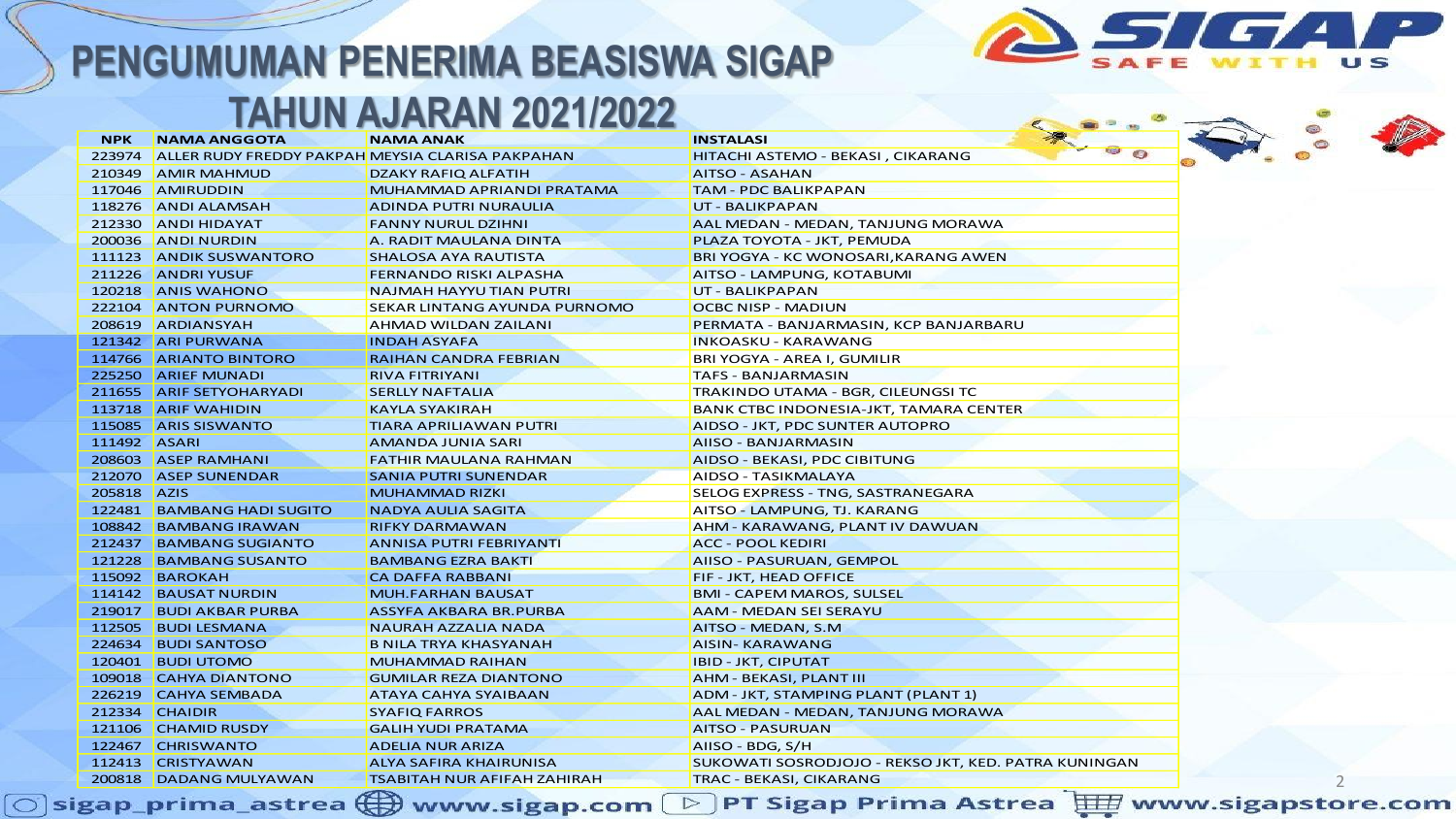

#### **TAHUN AJARAN 2021/2022**

| <b>NPK</b>     | <b>NAMA ANGGOTA</b>                                     | <b>NAMA ANAK</b>                   | <b>INSTALASI</b>                                     |       |  |
|----------------|---------------------------------------------------------|------------------------------------|------------------------------------------------------|-------|--|
|                | 223974 ALLER RUDY FREDDY PAKPAH MEYSIA CLARISA PAKPAHAN |                                    | HITACHI ASTEMO - BEKASI, CIKARANG                    | ● ● ● |  |
|                | 210349 AMIR MAHMUD                                      | <b>DZAKY RAFIQ ALFATIH</b>         | <b>AITSO - ASAHAN</b>                                |       |  |
|                | 117046 AMIRUDDIN                                        | MUHAMMAD APRIANDI PRATAMA          | <b>TAM - PDC BALIKPAPAN</b>                          |       |  |
|                | 118276 ANDI ALAMSAH                                     | ADINDA PUTRI NURAULIA              | UT - BALIKPAPAN                                      |       |  |
|                | 212330 ANDI HIDAYAT                                     | <b>FANNY NURUL DZIHNI</b>          | AAL MEDAN - MEDAN, TANJUNG MORAWA                    |       |  |
|                | 200036 ANDI NURDIN                                      | A. RADIT MAULANA DINTA             | PLAZA TOYOTA - JKT, PEMUDA                           |       |  |
|                | 111123 ANDIK SUSWANTORO                                 | SHALOSA AYA RAUTISTA               | BRI YOGYA - KC WONOSARI, KARANG AWEN                 |       |  |
|                | 211226 ANDRI YUSUF                                      | FERNANDO RISKI ALPASHA             | AITSO - LAMPUNG, KOTABUMI                            |       |  |
|                | 120218 ANIS WAHONO                                      | <b>NAJMAH HAYYU TIAN PUTRI</b>     | UT - BALIKPAPAN                                      |       |  |
|                | 222104 ANTON PURNOMO                                    | SEKAR LINTANG AYUNDA PURNOMO       | <b>OCBC NISP - MADIUN</b>                            |       |  |
|                | 208619 ARDIANSYAH                                       | AHMAD WILDAN ZAILANI               | PERMATA - BANJARMASIN, KCP BANJARBARU                |       |  |
|                | 121342 ARI PURWANA                                      | <b>INDAH ASYAFA</b>                | <b>INKOASKU - KARAWANG</b>                           |       |  |
|                | 114766 ARIANTO BINTORO                                  | <b>RAIHAN CANDRA FEBRIAN</b>       | BRI YOGYA - AREA I, GUMILIR                          |       |  |
|                | 225250 ARIEF MUNADI                                     | <b>RIVA FITRIYANI</b>              | <b>TAFS - BANJARMASIN</b>                            |       |  |
|                | 211655 ARIF SETYOHARYADI                                | <b>SERLLY NAFTALIA</b>             | TRAKINDO UTAMA - BGR, CILEUNGSI TC                   |       |  |
|                | 113718 ARIF WAHIDIN                                     | <b>KAYLA SYAKIRAH</b>              | BANK CTBC INDONESIA-JKT, TAMARA CENTER               |       |  |
|                | 115085 ARIS SISWANTO                                    | TIARA APRILIAWAN PUTRI             | AIDSO - JKT, PDC SUNTER AUTOPRO                      |       |  |
| 111492 ASARI   |                                                         | <b>AMANDA JUNIA SARI</b>           | AIISO - BANJARMASIN                                  |       |  |
|                | 208603 ASEP RAMHANI                                     | FATHIR MAULANA RAHMAN              | AIDSO - BEKASI, PDC CIBITUNG                         |       |  |
|                | 212070 ASEP SUNENDAR                                    | <b>SANIA PUTRI SUNENDAR</b>        | AIDSO - TASIKMALAYA                                  |       |  |
| 205818 AZIS    |                                                         | <b>MUHAMMAD RIZKI</b>              | SELOG EXPRESS - TNG, SASTRANEGARA                    |       |  |
|                | 122481 BAMBANG HADI SUGITO                              | <b>NADYA AULIA SAGITA</b>          | AITSO - LAMPUNG, TJ. KARANG                          |       |  |
|                | 108842 BAMBANG IRAWAN                                   | <b>RIFKY DARMAWAN</b>              | AHM - KARAWANG, PLANT IV DAWUAN                      |       |  |
|                | 212437 BAMBANG SUGIANTO                                 | <b>ANNISA PUTRI FEBRIYANTI</b>     | <b>ACC - POOL KEDIRI</b>                             |       |  |
|                | 121228 BAMBANG SUSANTO                                  | <b>BAMBANG EZRA BAKTI</b>          | AIISO - PASURUAN, GEMPOL                             |       |  |
|                | 115092 BAROKAH                                          | <b>CA DAFFA RABBANI</b>            | FIF - JKT, HEAD OFFICE                               |       |  |
|                | 114142 BAUSAT NURDIN                                    | <b>MUH.FARHAN BAUSAT</b>           | <b>BMI - CAPEM MAROS, SULSEL</b>                     |       |  |
|                | 219017 BUDI AKBAR PURBA                                 | ASSYFA AKBARA BR.PURBA             | <b>AAM - MEDAN SEI SERAYU</b>                        |       |  |
|                | 112505 BUDI LESMANA                                     | <b>NAURAH AZZALIA NADA</b>         | AITSO - MEDAN, S.M.                                  |       |  |
|                | 224634 BUDI SANTOSO                                     | <b>B NILA TRYA KHASYANAH</b>       | <b>AISIN- KARAWANG</b>                               |       |  |
|                | 120401 BUDI UTOMO                                       | <b>MUHAMMAD RAIHAN</b>             | <b>IBID - JKT, CIPUTAT</b>                           |       |  |
|                | 109018 CAHYA DIANTONO                                   | <b>GUMILAR REZA DIANTONO</b>       | <b>AHM - BEKASI, PLANT III</b>                       |       |  |
|                | 226219 CAHYA SEMBADA                                    | ATAYA CAHYA SYAIBAAN               | ADM - JKT, STAMPING PLANT (PLANT 1)                  |       |  |
| 212334 CHAIDIR |                                                         | <b>SYAFIQ FARROS</b>               | AAL MEDAN - MEDAN, TANJUNG MORAWA                    |       |  |
|                | 121106 CHAMID RUSDY                                     | <b>GALIH YUDI PRATAMA</b>          | <b>AITSO - PASURUAN</b>                              |       |  |
|                | 122467 CHRISWANTO                                       | <b>ADELIA NUR ARIZA</b>            | AIISO - BDG, S/H                                     |       |  |
|                | 112413 CRISTYAWAN                                       | <b>ALYA SAFIRA KHAIRUNISA</b>      | SUKOWATI SOSRODJOJO - REKSO JKT, KED. PATRA KUNINGAN |       |  |
|                | 200818 DADANG MULYAWAN                                  | <b>TSABITAH NUR AFIFAH ZAHIRAH</b> | TRAC - BEKASI, CIKARANG                              |       |  |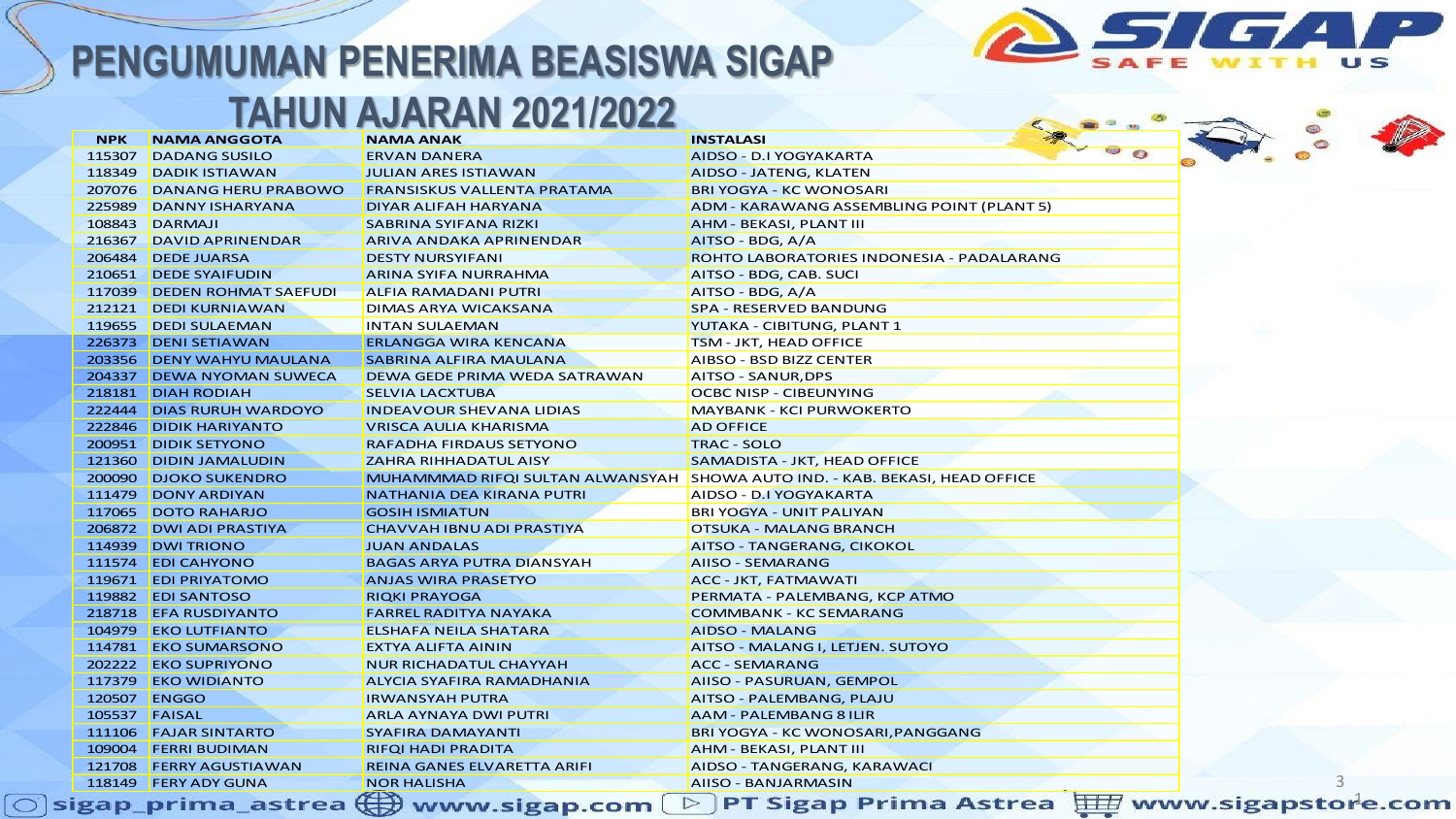

#### **TAHUN AJARAN 2021/2022**

| <b>NPK</b>    | <b>NAMA ANGGOTA</b>                                                      | <b>NAMA ANAK</b>                   | 200<br><b>INSTALASI</b>                                                     |
|---------------|--------------------------------------------------------------------------|------------------------------------|-----------------------------------------------------------------------------|
| 115307        | <b>DADANG SUSILO</b>                                                     | <b>ERVAN DANERA</b>                | AIDSO - D.I YOGYAKARTA                                                      |
|               | 118349   DADIK ISTIAWAN                                                  | <b>JULIAN ARES ISTIAWAN</b>        | AIDSO - JATENG, KLATEN                                                      |
|               | 207076 DANANG HERU PRABOWO                                               | <b>FRANSISKUS VALLENTA PRATAMA</b> | <b>BRI YOGYA - KC WONOSARI</b>                                              |
| 225989        | DANNY ISHARYANA                                                          | DIYAR ALIFAH HARYANA               | ADM - KARAWANG ASSEMBLING POINT (PLANT 5)                                   |
| 108843        | DARMAJI                                                                  | SABRINA SYIFANA RIZKI              | AHM - BEKASI, PLANT III                                                     |
|               | 216367 DAVID APRINENDAR                                                  | ARIVA ANDAKA APRINENDAR            | AITSO - BDG, A/A                                                            |
|               | 206484   DEDE JUARSA                                                     | <b>DESTY NURSYIFANI</b>            | ROHTO LABORATORIES INDONESIA - PADALARANG                                   |
|               | 210651 DEDE SYAIFUDIN                                                    | ARINA SYIFA NURRAHMA               | AITSO - BDG, CAB. SUCI                                                      |
|               | 117039 DEDEN ROHMAT SAEFUDI                                              | ALFIA RAMADANI PUTRI               | AITSO - BDG, A/A                                                            |
|               | 212121 DEDI KURNIAWAN                                                    | DIMAS ARYA WICAKSANA               | <b>SPA - RESERVED BANDUNG</b>                                               |
|               | 119655 DEDI SULAEMAN                                                     | <b>INTAN SULAEMAN</b>              | YUTAKA - CIBITUNG, PLANT 1                                                  |
|               | 226373 DENI SETIAWAN                                                     | <b>ERLANGGA WIRA KENCANA</b>       | TSM - JKT, HEAD OFFICE                                                      |
|               | 203356 DENY WAHYU MAULANA                                                | SABRINA ALFIRA MAULANA             | AIBSO - BSD BIZZ CENTER                                                     |
|               | 204337 DEWA NYOMAN SUWECA                                                | DEWA GEDE PRIMA WEDA SATRAWAN      | AITSO - SANUR, DPS                                                          |
|               | 218181 DIAH RODIAH                                                       | SELVIA LACXTUBA                    | OCBC NISP - CIBEUNYING                                                      |
|               | 222444 DIAS RURUH WARDOYO                                                | <b>INDEAVOUR SHEVANA LIDIAS</b>    | <b>MAYBANK - KCI PURWOKERTO</b>                                             |
|               | 222846 DIDIK HARIYANTO                                                   | VRISCA AULIA KHARISMA              | <b>AD OFFICE</b>                                                            |
|               | 200951 DIDIK SETYONO                                                     | RAFADHA FIRDAUS SETYONO            | <b>TRAC - SOLO</b>                                                          |
| 121360        | <b>DIDIN JAMALUDIN</b>                                                   | <b>ZAHRA RIHHADATUL AISY</b>       | SAMADISTA - JKT, HEAD OFFICE                                                |
|               | 200090 DJOKO SUKENDRO                                                    |                                    | MUHAMMMAD RIFQI SULTAN ALWANSYAH SHOWA AUTO IND. - KAB. BEKASI, HEAD OFFICE |
|               | 111479 DONY ARDIYAN                                                      | <b>NATHANIA DEA KIRANA PUTRI</b>   | AIDSO - D.I YOGYAKARTA                                                      |
|               | 117065 DOTO RAHARJO                                                      | <b>GOSIH ISMIATUN</b>              | <b>BRI YOGYA - UNIT PALIYAN</b>                                             |
|               | 206872 DWI ADI PRASTIYA                                                  | CHAVVAH IBNU ADI PRASTIYA          | OTSUKA - MALANG BRANCH                                                      |
|               | 114939 DWI TRIONO                                                        | <b>JUAN ANDALAS</b>                | AITSO - TANGERANG, CIKOKOL                                                  |
|               | 111574 EDI CAHYONO                                                       | <b>BAGAS ARYA PUTRA DIANSYAH</b>   | <b>AIISO - SEMARANG</b>                                                     |
|               | 119671 EDI PRIYATOMO                                                     | <b>ANJAS WIRA PRASETYO</b>         | ACC - JKT, FATMAWATI                                                        |
|               | 119882 EDI SANTOSO                                                       | <b>RIQKI PRAYOGA</b>               | PERMATA - PALEMBANG, KCP ATMO                                               |
|               | 218718 EFA RUSDIYANTO                                                    | FARREL RADITYA NAYAKA              | <b>COMMBANK - KC SEMARANG</b>                                               |
|               | 104979 EKO LUTFIANTO                                                     | ELSHAFA NEILA SHATARA              | AIDSO - MALANG                                                              |
|               | 114781 EKO SUMARSONO                                                     | EXTYA ALIFTA AININ                 | AITSO - MALANG I, LETJEN. SUTOYO                                            |
|               | 202222 EKO SUPRIYONO                                                     | <b>NUR RICHADATUL CHAYYAH</b>      | <b>ACC - SEMARANG</b>                                                       |
|               | 117379 EKO WIDIANTO                                                      | ALYCIA SYAFIRA RAMADHANIA          | AIISO - PASURUAN, GEMPOL                                                    |
|               | 120507 ENGGO                                                             | <b>IRWANSYAH PUTRA</b>             | AITSO - PALEMBANG, PLAJU                                                    |
| 105537 FAISAL |                                                                          | ARLA AYNAYA DWI PUTRI              | <b>AAM - PALEMBANG 8 ILIR</b>                                               |
|               | 111106 FAJAR SINTARTO                                                    | SYAFIRA DAMAYANTI                  | BRI YOGYA - KC WONOSARI, PANGGANG                                           |
|               | 109004 FERRI BUDIMAN                                                     | <b>RIFOI HADI PRADITA</b>          | AHM - BEKASI, PLANT III                                                     |
|               | 121708 FERRY AGUSTIAWAN                                                  | REINA GANES ELVARETTA ARIFI        | AIDSO - TANGERANG, KARAWACI                                                 |
|               | 118149 FERY ADY GUNA                                                     | <b>NOR HALISHA</b>                 | AIISO - BANJARMASIN                                                         |
|               | igap prima astrea $\left(\begin{matrix} \Box \ \Box \end{matrix}\right)$ | www.sigan.com                      | PT Sigap Prima Astrea Harwww.sigapstore.<br>▷                               |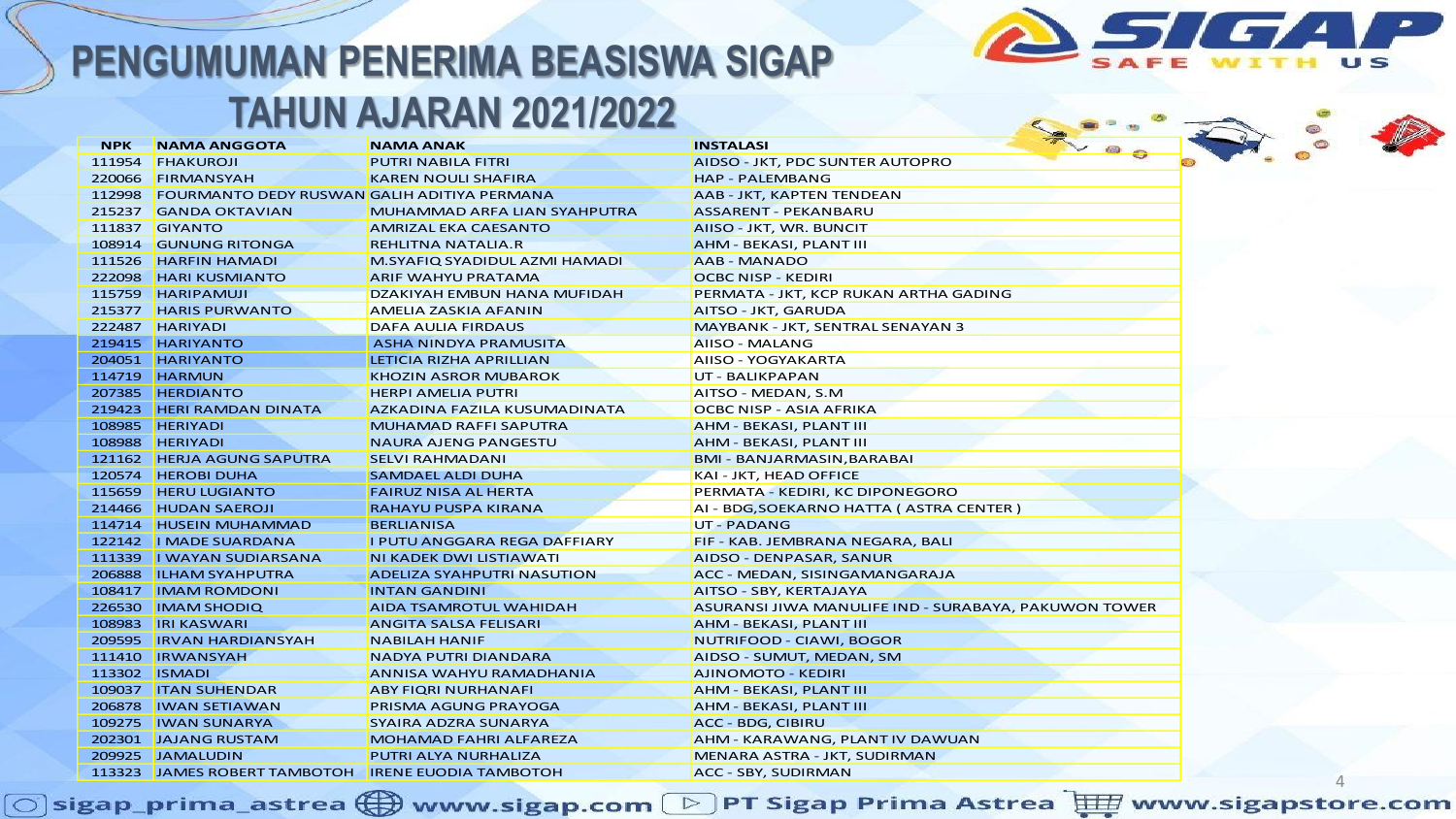

| <b>NPK</b> | <b>NAMA ANGGOTA</b>                                | <b>NAMA ANAK</b>                    | 7, 88<br><b>INSTALASI</b>                            |
|------------|----------------------------------------------------|-------------------------------------|------------------------------------------------------|
| 111954     | <b>FHAKUROJI</b>                                   | PUTRI NABILA FITRI                  | AIDSO - JKT, PDC SUNTER AUTOPRO                      |
| 220066     | FIRMANSYAH                                         | <b>KAREN NOULI SHAFIRA</b>          | <b>HAP - PALEMBANG</b>                               |
| 112998     | <b>FOURMANTO DEDY RUSWAN GALIH ADITIYA PERMANA</b> |                                     | AAB - JKT, KAPTEN TENDEAN                            |
| 215237     | <b>GANDA OKTAVIAN</b>                              | MUHAMMAD ARFA LIAN SYAHPUTRA        | <b>ASSARENT - PEKANBARU</b>                          |
| 111837     | <b>GIYANTO</b>                                     | AMRIZAL EKA CAESANTO                | AIISO - JKT, WR. BUNCIT                              |
| 108914     | <b>GUNUNG RITONGA</b>                              | REHLITNA NATALIA.R                  | AHM - BEKASI, PLANT III                              |
| 111526     | <b>HARFIN HAMADI</b>                               | M.SYAFIQ SYADIDUL AZMI HAMADI       | AAB - MANADO                                         |
|            | 222098 HARI KUSMIANTO                              | ARIF WAHYU PRATAMA                  | OCBC NISP - KEDIRI                                   |
|            | 115759 HARIPAMUJI                                  | DZAKIYAH EMBUN HANA MUFIDAH         | PERMATA - JKT, KCP RUKAN ARTHA GADING                |
|            | 215377 HARIS PURWANTO                              | AMELIA ZASKIA AFANIN                | AITSO - JKT, GARUDA                                  |
|            | 222487 HARIYADI                                    | DAFA AULIA FIRDAUS                  | MAYBANK - JKT, SENTRAL SENAYAN 3                     |
|            | 219415 HARIYANTO                                   | ASHA NINDYA PRAMUSITA               | <b>AIISO - MALANG</b>                                |
|            | 204051 HARIYANTO                                   | LETICIA RIZHA APRILLIAN             | AIISO - YOGYAKARTA                                   |
|            | 114719 HARMUN                                      | KHOZIN ASROR MUBAROK                | UT - BALIKPAPAN                                      |
|            | 207385 HERDIANTO                                   | <b>HERPI AMELIA PUTRI</b>           | AITSO - MEDAN, S.M                                   |
|            | 219423 HERI RAMDAN DINATA                          | AZKADINA FAZILA KUSUMADINATA        | OCBC NISP - ASIA AFRIKA                              |
|            | 108985 HERIYADI                                    | <b>MUHAMAD RAFFI SAPUTRA</b>        | AHM - BEKASI, PLANT III                              |
|            | 108988 HERIYADI                                    | <b>NAURA AJENG PANGESTU</b>         | AHM - BEKASI, PLANT III                              |
|            | 121162 HERJA AGUNG SAPUTRA                         | <b>SELVI RAHMADANI</b>              | BMI - BANJARMASIN, BARABAI                           |
|            | 120574   HEROBI DUHA                               | SAMDAEL ALDI DUHA                   | KAI - JKT, HEAD OFFICE                               |
|            | 115659 HERU LUGIANTO                               | FAIRUZ NISA AL HERTA                | PERMATA - KEDIRI, KC DIPONEGORO                      |
|            | 214466 HUDAN SAEROJI                               | RAHAYU PUSPA KIRANA                 | AI - BDG, SOEKARNO HATTA ( ASTRA CENTER )            |
|            | 114714 HUSEIN MUHAMMAD                             | <b>BERLIANISA</b>                   | <b>UT-PADANG</b>                                     |
|            | 122142   MADE SUARDANA                             | <b>I PUTU ANGGARA REGA DAFFIARY</b> | FIF - KAB. JEMBRANA NEGARA, BALI                     |
|            | 111339   I WAYAN SUDIARSANA                        | NI KADEK DWI LISTIAWATI             | AIDSO - DENPASAR, SANUR                              |
|            | 206888 ILHAM SYAHPUTRA                             | <b>ADELIZA SYAHPUTRI NASUTION</b>   | ACC - MEDAN, SISINGAMANGARAJA                        |
|            | 108417   IMAM ROMDONI                              | <b>INTAN GANDINI</b>                | AITSO - SBY, KERTAJAYA                               |
|            | 226530 IMAM SHODIQ                                 | AIDA TSAMROTUL WAHIDAH              | ASURANSI JIWA MANULIFE IND - SURABAYA, PAKUWON TOWER |
|            | 108983 IRI KASWARI                                 | ANGITA SALSA FELISARI               | <b>AHM - BEKASI, PLANT III</b>                       |
|            | 209595 <b>IRVAN HARDIANSYAH</b>                    | <b>NABILAH HANIF</b>                | NUTRIFOOD - CIAWI, BOGOR                             |
|            | 111410 IRWANSYAH                                   | <b>NADYA PUTRI DIANDARA</b>         | AIDSO - SUMUT, MEDAN, SM                             |
|            | 113302 ISMADI                                      | ANNISA WAHYU RAMADHANIA             | AJINOMOTO - KEDIRI                                   |
|            | 109037 ITAN SUHENDAR                               | ABY FIQRI NURHANAFI                 | AHM - BEKASI, PLANT III                              |
|            | 206878   IWAN SETIAWAN                             | PRISMA AGUNG PRAYOGA                | <b>AHM - BEKASI, PLANT III</b>                       |
|            | 109275   IWAN SUNARYA                              | SYAIRA ADZRA SUNARYA                | ACC - BDG, CIBIRU                                    |
|            | 202301 JAJANG RUSTAM                               | <b>MOHAMAD FAHRI ALFAREZA</b>       | AHM - KARAWANG, PLANT IV DAWUAN                      |
|            | 209925 JAMALUDIN                                   | <b>PUTRI ALYA NURHALIZA</b>         | MENARA ASTRA - JKT, SUDIRMAN                         |
|            | 113323 JAMES ROBERT TAMBOTOH IRENE EUODIA TAMBOTOH |                                     | ACC - SBY, SUDIRMAN                                  |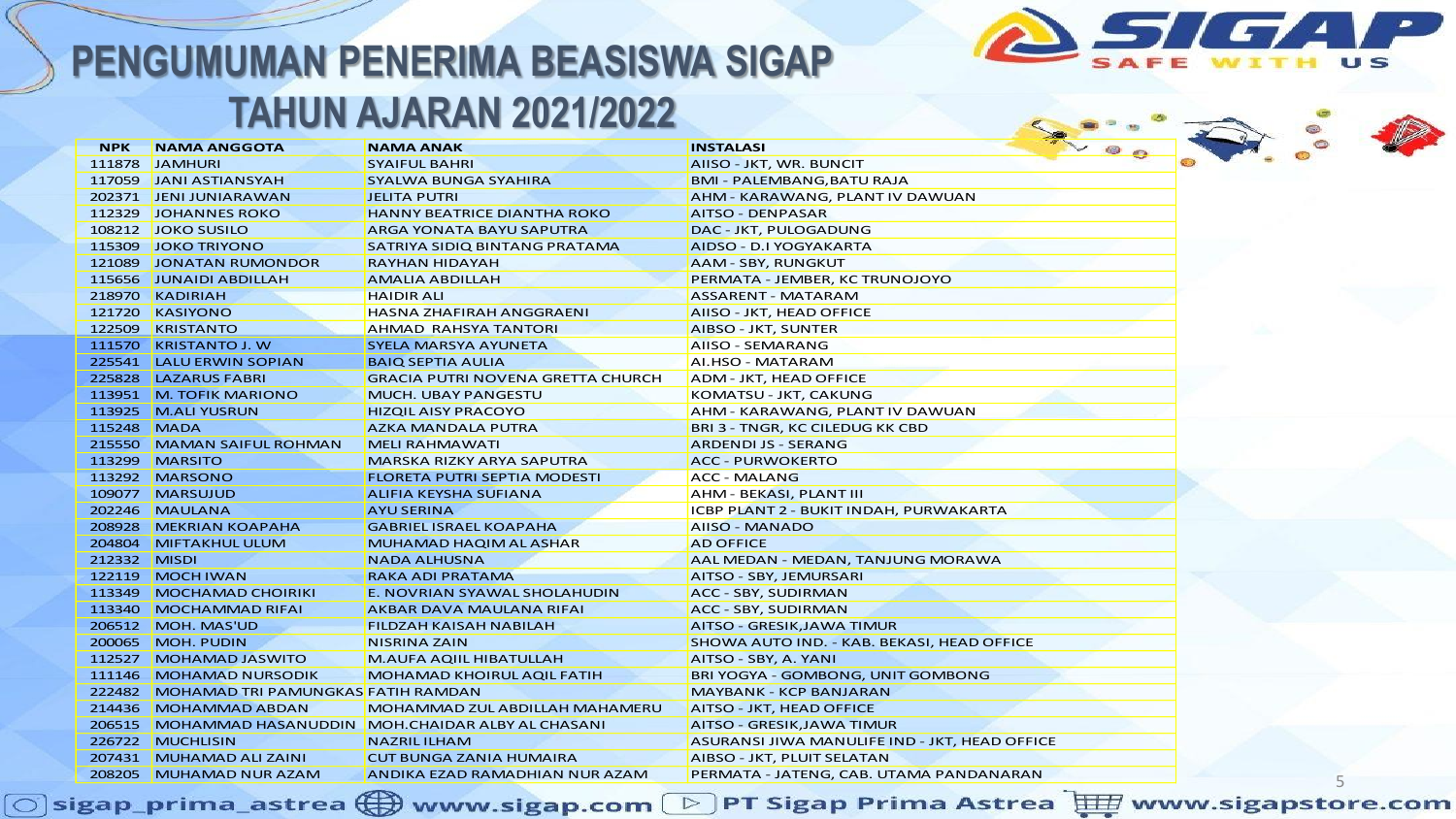

| <b>NPK</b>   | <b>NAMA ANGGOTA</b>                       | <b>NAMA ANAK</b>                                       | $\bullet \vee \bullet \bullet$<br><b>INSTALASI</b> |
|--------------|-------------------------------------------|--------------------------------------------------------|----------------------------------------------------|
|              | 111878 JAMHURI                            | <b>SYAIFUL BAHRI</b>                                   | o<br>AIISO - JKT, WR. BUNCIT                       |
|              | 117059 JANI ASTIANSYAH                    | <b>SYALWA BUNGA SYAHIRA</b>                            | <b>BMI - PALEMBANG, BATU RAJA</b>                  |
|              | 202371 JENI JUNIARAWAN                    | <b>JELITA PUTRI</b>                                    | AHM - KARAWANG, PLANT IV DAWUAN                    |
|              | 112329 JOHANNES ROKO                      | <b>HANNY BEATRICE DIANTHA ROKO</b>                     | <b>AITSO - DENPASAR</b>                            |
|              | 108212 JOKO SUSILO                        | ARGA YONATA BAYU SAPUTRA                               | DAC - JKT, PULOGADUNG                              |
|              | 115309 JOKO TRIYONO                       | SATRIYA SIDIQ BINTANG PRATAMA                          | AIDSO - D.I YOGYAKARTA                             |
|              | 121089 JONATAN RUMONDOR                   | <b>RAYHAN HIDAYAH</b>                                  | <b>AAM - SBY, RUNGKUT</b>                          |
|              | 115656 JUNAIDI ABDILLAH                   | <b>AMALIA ABDILLAH</b>                                 | PERMATA - JEMBER, KC TRUNOJOYO                     |
|              | 218970 KADIRIAH                           | <b>HAIDIR ALI</b>                                      | <b>ASSARENT - MATARAM</b>                          |
|              | 121720 KASIYONO                           | <b>HASNA ZHAFIRAH ANGGRAENI</b>                        | AIISO - JKT, HEAD OFFICE                           |
|              | 122509 KRISTANTO                          | <b>AHMAD RAHSYA TANTORI</b>                            | <b>AIBSO - JKT, SUNTER</b>                         |
|              | 111570 KRISTANTO J. W                     | SYELA MARSYA AYUNETA                                   | AIISO - SEMARANG                                   |
|              | 225541 LALU ERWIN SOPIAN                  | <b>BAIQ SEPTIA AULIA</b>                               | AI.HSO - MATARAM                                   |
|              | 225828 LAZARUS FABRI                      | <b>GRACIA PUTRI NOVENA GRETTA CHURCH</b>               | <b>ADM - JKT, HEAD OFFICE</b>                      |
|              | 113951 M. TOFIK MARIONO                   | MUCH. UBAY PANGESTU                                    | <b>KOMATSU - JKT, CAKUNG</b>                       |
|              | 113925 M.ALI YUSRUN                       | <b>HIZQIL AISY PRACOYO</b>                             | AHM - KARAWANG, PLANT IV DAWUAN                    |
| 115248 MADA  |                                           | AZKA MANDALA PUTRA                                     | BRI 3 - TNGR, KC CILEDUG KK CBD                    |
|              | 215550 MAMAN SAIFUL ROHMAN                | <b>MELI RAHMAWATI</b>                                  | <b>ARDENDI JS - SERANG</b>                         |
|              | 113299 MARSITO                            | MARSKA RIZKY ARYA SAPUTRA                              | <b>ACC - PURWOKERTO</b>                            |
|              | 113292 MARSONO                            | <b>FLORETA PUTRI SEPTIA MODESTI</b>                    | <b>ACC - MALANG</b>                                |
|              | 109077 MARSUJUD                           | ALIFIA KEYSHA SUFIANA                                  | AHM - BEKASI, PLANT III                            |
|              | 202246 MAULANA                            | <b>AYU SERINA</b>                                      | ICBP PLANT 2 - BUKIT INDAH, PURWAKARTA             |
|              | 208928 MEKRIAN KOAPAHA                    | <b>GABRIEL ISRAEL KOAPAHA</b>                          | <b>AIISO - MANADO</b>                              |
|              | 204804 MIFTAKHUL ULUM                     | MUHAMAD HAQIM AL ASHAR                                 | <b>AD OFFICE</b>                                   |
| 212332 MISDI |                                           | <b>NADA ALHUSNA</b>                                    | AAL MEDAN - MEDAN, TANJUNG MORAWA                  |
|              | 122119 MOCH IWAN                          | RAKA ADI PRATAMA                                       | AITSO - SBY, JEMURSARI                             |
|              | 113349 MOCHAMAD CHOIRIKI                  | E. NOVRIAN SYAWAL SHOLAHUDIN                           | ACC - SBY, SUDIRMAN                                |
|              | 113340 MOCHAMMAD RIFAI                    | AKBAR DAVA MAULANA RIFAI                               | <b>ACC - SBY, SUDIRMAN</b>                         |
|              | 206512 MOH. MAS'UD                        | <b>FILDZAH KAISAH NABILAH</b>                          | AITSO - GRESIK, JAWA TIMUR                         |
|              | 200065 MOH. PUDIN                         | <b>NISRINA ZAIN</b>                                    | SHOWA AUTO IND. - KAB. BEKASI, HEAD OFFICE         |
|              | 112527 MOHAMAD JASWITO                    | <b>M.AUFA AQIIL HIBATULLAH</b>                         | AITSO - SBY, A. YANI                               |
|              | 111146 MOHAMAD NURSODIK                   | <b>MOHAMAD KHOIRUL AQIL FATIH</b>                      | BRI YOGYA - GOMBONG, UNIT GOMBONG                  |
|              | 222482 MOHAMAD TRI PAMUNGKAS FATIH RAMDAN |                                                        | <b>MAYBANK - KCP BANJARAN</b>                      |
|              | 214436 MOHAMMAD ABDAN                     | MOHAMMAD ZUL ABDILLAH MAHAMERU                         | AITSO - JKT, HEAD OFFICE                           |
|              |                                           | 206515 MOHAMMAD HASANUDDIN MOH.CHAIDAR ALBY AL CHASANI | AITSO - GRESIK, JAWA TIMUR                         |
|              | 226722 MUCHLISIN                          | <b>NAZRIL ILHAM</b>                                    | ASURANSI JIWA MANULIFE IND - JKT, HEAD OFFICE      |
|              | 207431 MUHAMAD ALI ZAINI                  | <b>CUT BUNGA ZANIA HUMAIRA</b>                         | AIBSO - JKT, PLUIT SELATAN                         |
|              | 208205 MUHAMAD NUR AZAM                   | ANDIKA EZAD RAMADHIAN NUR AZAM                         | PERMATA - JATENG, CAB. UTAMA PANDANARAN            |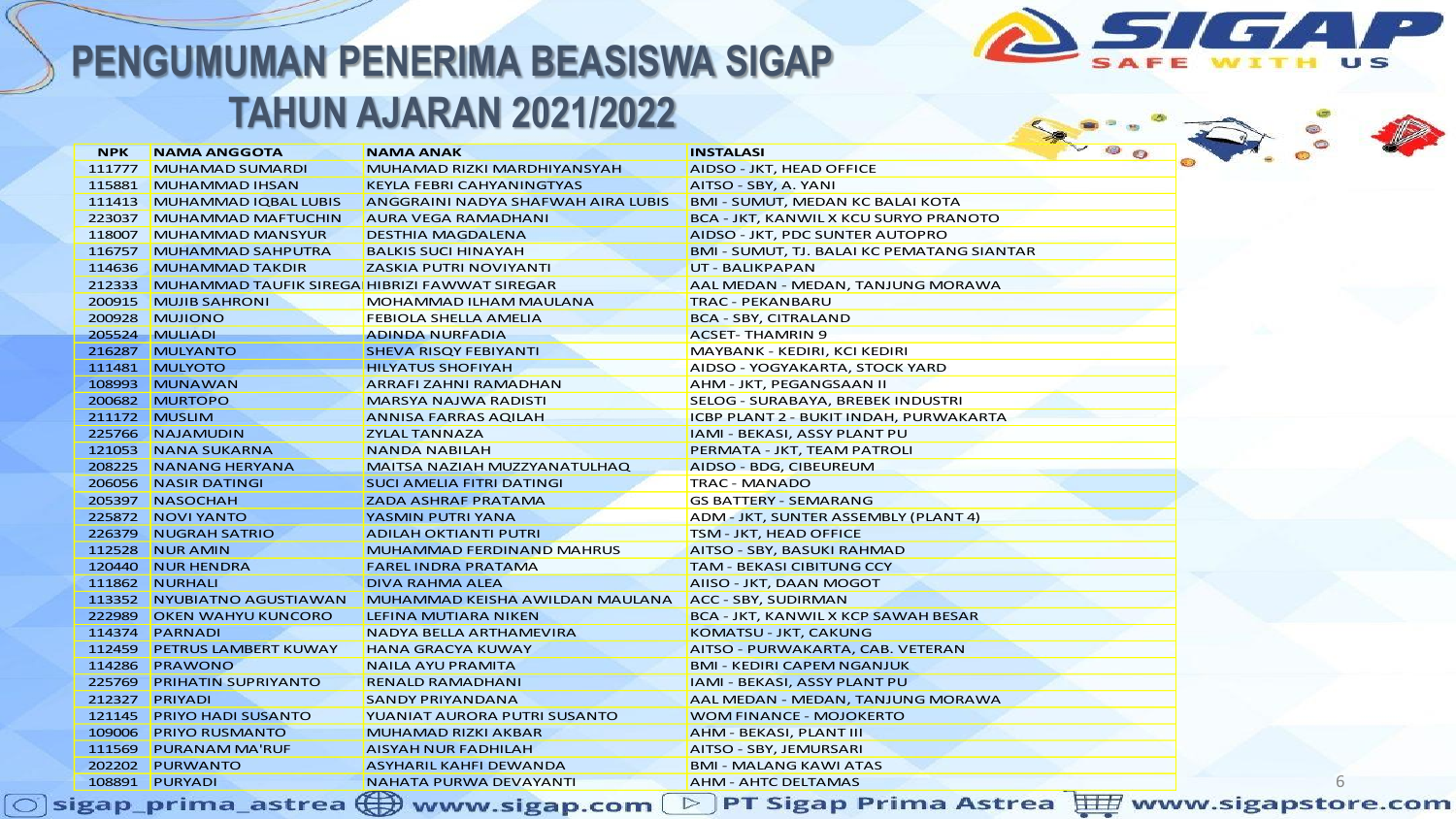

| <b>NPK</b> | <b>NAMA ANGGOTA</b>                                  | <b>NAMA ANAK</b>                   | <b>INSTALASI</b>                             | $\sim$ $\circ$ $\circ$ |
|------------|------------------------------------------------------|------------------------------------|----------------------------------------------|------------------------|
| 111777     | <b>MUHAMAD SUMARDI</b>                               | MUHAMAD RIZKI MARDHIYANSYAH        | AIDSO - JKT, HEAD OFFICE                     |                        |
| 115881     | MUHAMMAD IHSAN                                       | <b>KEYLA FEBRI CAHYANINGTYAS</b>   | AITSO - SBY, A. YANI                         |                        |
| 111413     | <b>MUHAMMAD IQBAL LUBIS</b>                          | ANGGRAINI NADYA SHAFWAH AIRA LUBIS | <b>BMI - SUMUT, MEDAN KC BALAI KOTA</b>      |                        |
| 223037     | <b>MUHAMMAD MAFTUCHIN</b>                            | AURA VEGA RAMADHANI                | <b>BCA - JKT, KANWIL X KCU SURYO PRANOTO</b> |                        |
| 118007     | <b>MUHAMMAD MANSYUR</b>                              | <b>DESTHIA MAGDALENA</b>           | AIDSO - JKT, PDC SUNTER AUTOPRO              |                        |
| 116757     | <b>MUHAMMAD SAHPUTRA</b>                             | <b>BALKIS SUCI HINAYAH</b>         | BMI - SUMUT, TJ. BALAI KC PEMATANG SIANTAR   |                        |
| 114636     | MUHAMMAD TAKDIR                                      | <b>ZASKIA PUTRI NOVIYANTI</b>      | UT - BALIKPAPAN                              |                        |
| 212333     | <b>MUHAMMAD TAUFIK SIREGA HIBRIZI FAWWAT SIREGAR</b> |                                    | AAL MEDAN - MEDAN, TANJUNG MORAWA            |                        |
| 200915     | <b>MUJIB SAHRONI</b>                                 | MOHAMMAD ILHAM MAULANA             | <b>TRAC - PEKANBARU</b>                      |                        |
| 200928     | MUJIONO                                              | FEBIOLA SHELLA AMELIA              | BCA - SBY, CITRALAND                         |                        |
|            | 205524 MULIADI                                       | <b>ADINDA NURFADIA</b>             | <b>ACSET-THAMRIN 9</b>                       |                        |
|            | 216287 MULYANTO                                      | SHEVA RISQY FEBIYANTI              | MAYBANK - KEDIRI, KCI KEDIRI                 |                        |
|            | 111481 MULYOTO                                       | <b>HILYATUS SHOFIYAH</b>           | AIDSO - YOGYAKARTA, STOCK YARD               |                        |
|            | 108993 MUNAWAN                                       | ARRAFI ZAHNI RAMADHAN              | AHM - JKT, PEGANGSAAN II                     |                        |
|            | 200682 MURTOPO                                       | <b>MARSYA NAJWA RADISTI</b>        | SELOG - SURABAYA, BREBEK INDUSTRI            |                        |
|            | 211172 MUSLIM                                        | ANNISA FARRAS AQILAH               | ICBP PLANT 2 - BUKIT INDAH, PURWAKARTA       |                        |
|            | 225766 NAJAMUDIN                                     | <b>ZYLAL TANNAZA</b>               | IAMI - BEKASI, ASSY PLANT PU                 |                        |
|            | 121053 NANA SUKARNA                                  | <b>NANDA NABILAH</b>               | PERMATA - JKT, TEAM PATROLI                  |                        |
| 208225     | <b>NANANG HERYANA</b>                                | MAITSA NAZIAH MUZZYANATULHAQ       | AIDSO - BDG, CIBEUREUM                       |                        |
| 206056     | NASIR DATINGI                                        | <b>SUCI AMELIA FITRI DATINGI</b>   | <b>TRAC - MANADO</b>                         |                        |
|            | 205397 NASOCHAH                                      | ZADA ASHRAF PRATAMA                | <b>GS BATTERY - SEMARANG</b>                 |                        |
| 225872     | NOVI YANTO                                           | YASMIN PUTRI YANA                  | ADM - JKT, SUNTER ASSEMBLY (PLANT 4)         |                        |
|            | 226379 NUGRAH SATRIO                                 | ADILAH OKTIANTI PUTRI              | TSM - JKT, HEAD OFFICE                       |                        |
| 112528     | NUR AMIN                                             | <b>MUHAMMAD FERDINAND MAHRUS</b>   | AITSO - SBY, BASUKI RAHMAD                   |                        |
|            | 120440 NUR HENDRA                                    | <b>FAREL INDRA PRATAMA</b>         | <b>TAM - BEKASI CIBITUNG CCY</b>             |                        |
|            | 111862 NURHALI                                       | DIVA RAHMA ALEA                    | AIISO - JKT, DAAN MOGOT                      |                        |
|            | 113352 NYUBIATNO AGUSTIAWAN                          | MUHAMMAD KEISHA AWILDAN MAULANA    | ACC - SBY, SUDIRMAN                          |                        |
| 222989     | <b>OKEN WAHYU KUNCORO</b>                            | LEFINA MUTIARA NIKEN               | <b>BCA - JKT, KANWIL X KCP SAWAH BESAR</b>   |                        |
|            | 114374 PARNADI                                       | NADYA BELLA ARTHAMEVIRA            | KOMATSU - JKT, CAKUNG                        |                        |
| 112459     | <b>PETRUS LAMBERT KUWAY</b>                          | <b>HANA GRACYA KUWAY</b>           | AITSO - PURWAKARTA, CAB. VETERAN             |                        |
| 114286     | PRAWONO                                              | <b>NAILA AYU PRAMITA</b>           | BMI - KEDIRI CAPEM NGANJUK                   |                        |
| 225769     | <b>PRIHATIN SUPRIYANTO</b>                           | <b>RENALD RAMADHANI</b>            | <b>IAMI - BEKASI, ASSY PLANT PU</b>          |                        |
|            | 212327 PRIYADI                                       | <b>SANDY PRIYANDANA</b>            | AAL MEDAN - MEDAN, TANJUNG MORAWA            |                        |
| 121145     | <b>PRIYO HADI SUSANTO</b>                            | YUANIAT AURORA PUTRI SUSANTO       | WOM FINANCE - MOJOKERTO                      |                        |
| 109006     | <b>PRIYO RUSMANTO</b>                                | MUHAMAD RIZKI AKBAR                | AHM - BEKASI, PLANT III                      |                        |
| 111569     | <b>PURANAM MA'RUF</b>                                | <b>AISYAH NUR FADHILAH</b>         | AITSO - SBY, JEMURSARI                       |                        |
|            | 202202 PURWANTO                                      | ASYHARIL KAHFI DEWANDA             | BMI - MALANG KAWI ATAS                       |                        |
|            | 108891 PURYADI                                       | NAHATA PURWA DEVAYANTI             | <b>AHM - AHTC DELTAMAS</b>                   |                        |

 $\bigcirc$  sigap\_prima\_astrea  $\bigoplus$  www.sigap.com  $\bigcirc$  PT Sigap Prima Astrea  $\biguplus\limits_{\overline{\alpha}}$  www.sigapstore.com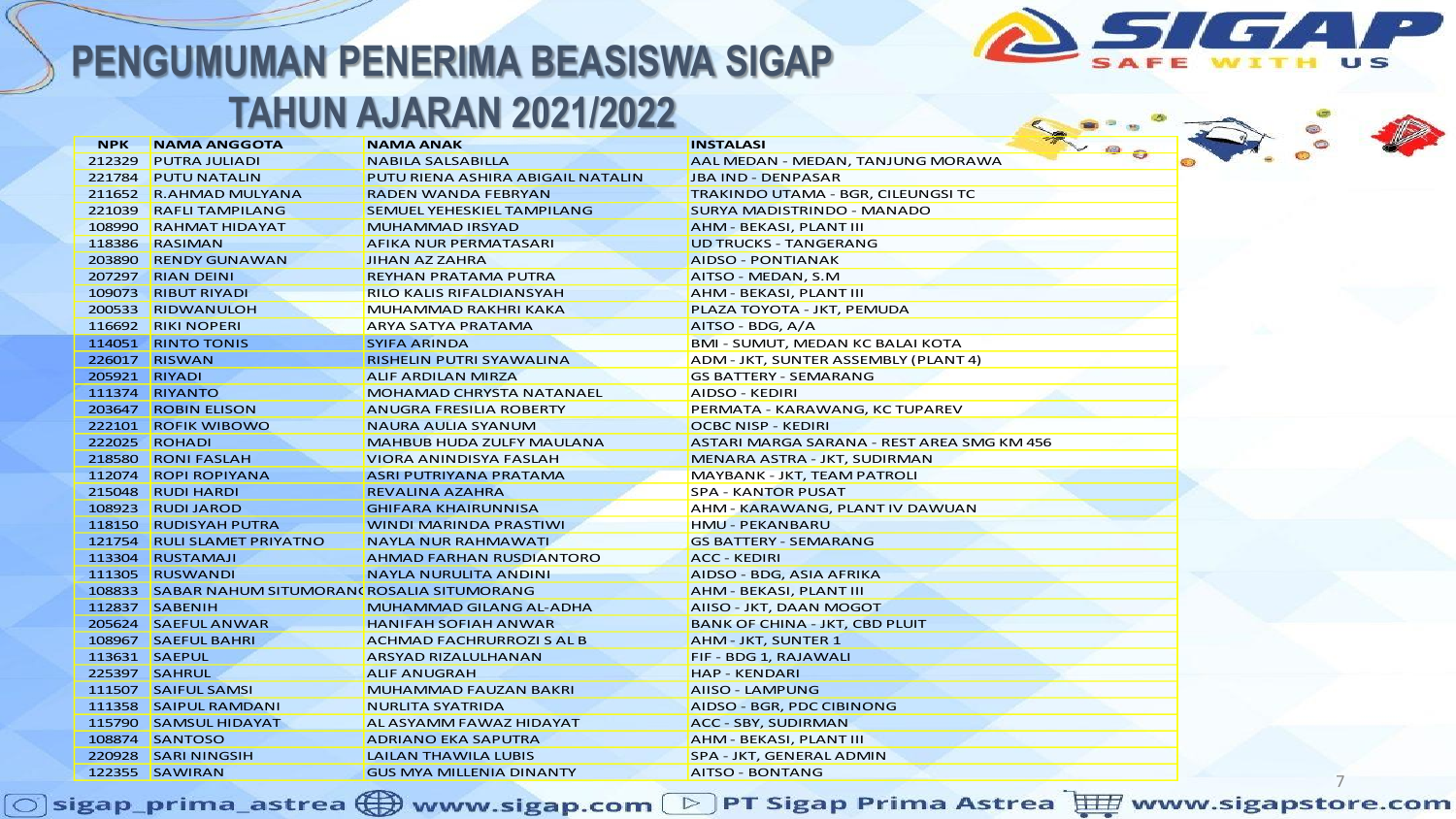

| <b>NPK</b> | <b>NAMA ANGGOTA</b>                              | <b>NAMA ANAK</b>                  | # 00<br><b>INSTALASI</b>                   |  |
|------------|--------------------------------------------------|-----------------------------------|--------------------------------------------|--|
| 212329     | <b>PUTRA JULIADI</b>                             | <b>NABILA SALSABILLA</b>          | AAL MEDAN - MEDAN, TANJUNG MORAWA          |  |
| 221784     | <b>PUTU NATALIN</b>                              | PUTU RIENA ASHIRA ABIGAIL NATALIN | <b>JBA IND - DENPASAR</b>                  |  |
|            | 211652 R.AHMAD MULYANA                           | RADEN WANDA FEBRYAN               | TRAKINDO UTAMA - BGR, CILEUNGSI TC         |  |
| 221039     | <b>RAFLI TAMPILANG</b>                           | SEMUEL YEHESKIEL TAMPILANG        | <b>SURYA MADISTRINDO - MANADO</b>          |  |
| 108990     | <b>RAHMAT HIDAYAT</b>                            | MUHAMMAD IRSYAD                   | AHM - BEKASI, PLANT III                    |  |
| 118386     | RASIMAN                                          | <b>AFIKA NUR PERMATASARI</b>      | <b>UD TRUCKS - TANGERANG</b>               |  |
| 203890     | <b>RENDY GUNAWAN</b>                             | JIHAN AZ ZAHRA                    | <b>AIDSO - PONTIANAK</b>                   |  |
|            | 207297 RIAN DEINI                                | REYHAN PRATAMA PUTRA              | AITSO - MEDAN, S.M                         |  |
|            | 109073 RIBUT RIYADI                              | RILO KALIS RIFALDIANSYAH          | AHM - BEKASI, PLANT III                    |  |
|            | 200533 RIDWANULOH                                | MUHAMMAD RAKHRI KAKA              | PLAZA TOYOTA - JKT, PEMUDA                 |  |
|            | 116692 RIKI NOPERI                               | ARYA SATYA PRATAMA                | AITSO - BDG, A/A                           |  |
|            | 114051 RINTO TONIS                               | <b>SYIFA ARINDA</b>               | <b>BMI - SUMUT, MEDAN KC BALAI KOTA</b>    |  |
|            | 226017 RISWAN                                    | RISHELIN PUTRI SYAWALINA          | ADM - JKT, SUNTER ASSEMBLY (PLANT 4)       |  |
|            | 205921 RIYADI                                    | <b>ALIF ARDILAN MIRZA</b>         | <b>GS BATTERY - SEMARANG</b>               |  |
|            | 111374 RIYANTO                                   | MOHAMAD CHRYSTA NATANAEL          | AIDSO - KEDIRI                             |  |
|            | 203647 ROBIN ELISON                              | <b>ANUGRA FRESILIA ROBERTY</b>    | PERMATA - KARAWANG, KC TUPAREV             |  |
|            | 222101 ROFIK WIBOWO                              | <b>NAURA AULIA SYANUM</b>         | OCBC NISP - KEDIRI                         |  |
| 222025     | ROHADI                                           | <b>MAHBUB HUDA ZULFY MAULANA</b>  | ASTARI MARGA SARANA - REST AREA SMG KM 456 |  |
|            | 218580 RONI FASLAH                               | VIORA ANINDISYA FASLAH            | MENARA ASTRA - JKT, SUDIRMAN               |  |
|            | 112074 ROPI ROPIYANA                             | ASRI PUTRIYANA PRATAMA            | <b>MAYBANK - JKT, TEAM PATROLI</b>         |  |
|            | 215048 RUDI HARDI                                | <b>REVALINA AZAHRA</b>            | <b>SPA - KANTOR PUSAT</b>                  |  |
|            | 108923 RUDI JAROD                                | <b>GHIFARA KHAIRUNNISA</b>        | AHM - KARAWANG, PLANT IV DAWUAN            |  |
|            | 118150 RUDISYAH PUTRA                            | <b>WINDI MARINDA PRASTIWI</b>     | <b>HMU - PEKANBARU</b>                     |  |
|            | 121754 RULI SLAMET PRIYATNO                      | <b>NAYLA NUR RAHMAWATI</b>        | <b>GS BATTERY - SEMARANG</b>               |  |
|            | 113304 RUSTAMAJI                                 | <b>AHMAD FARHAN RUSDIANTORO</b>   | <b>ACC - KEDIRI</b>                        |  |
|            | 111305 RUSWANDI                                  | <b>NAYLA NURULITA ANDINI</b>      | AIDSO - BDG, ASIA AFRIKA                   |  |
|            | 108833 SABAR NAHUM SITUMORAN (ROSALIA SITUMORANG |                                   | AHM - BEKASI, PLANT III                    |  |
|            | 112837 SABENIH                                   | MUHAMMAD GILANG AL-ADHA           | AIISO - JKT, DAAN MOGOT                    |  |
|            | 205624 SAEFUL ANWAR                              | <b>HANIFAH SOFIAH ANWAR</b>       | <b>BANK OF CHINA - JKT, CBD PLUIT</b>      |  |
|            | 108967 SAEFUL BAHRI                              | <b>ACHMAD FACHRURROZI S AL B</b>  | <b>AHM - JKT, SUNTER 1</b>                 |  |
|            | 113631 SAEPUL                                    | <b>ARSYAD RIZALULHANAN</b>        | FIF - BDG 1, RAJAWALI                      |  |
|            | 225397 SAHRUL                                    | <b>ALIF ANUGRAH</b>               | <b>HAP - KENDARI</b>                       |  |
|            | 111507 SAIFUL SAMSI                              | MUHAMMAD FAUZAN BAKRI             | <b>AIISO - LAMPUNG</b>                     |  |
|            | 111358 SAIPUL RAMDANI                            | <b>NURLITA SYATRIDA</b>           | AIDSO - BGR, PDC CIBINONG                  |  |
|            | 115790 SAMSUL HIDAYAT                            | AL ASYAMM FAWAZ HIDAYAT           | <b>ACC - SBY, SUDIRMAN</b>                 |  |
|            | 108874 SANTOSO                                   | <b>ADRIANO EKA SAPUTRA</b>        | AHM - BEKASI, PLANT III                    |  |
|            | 220928 SARI NINGSIH                              | <b>LAILAN THAWILA LUBIS</b>       | SPA - JKT, GENERAL ADMIN                   |  |
|            | 122355 SAWIRAN                                   | <b>GUS MYA MILLENIA DINANTY</b>   | <b>AITSO - BONTANG</b>                     |  |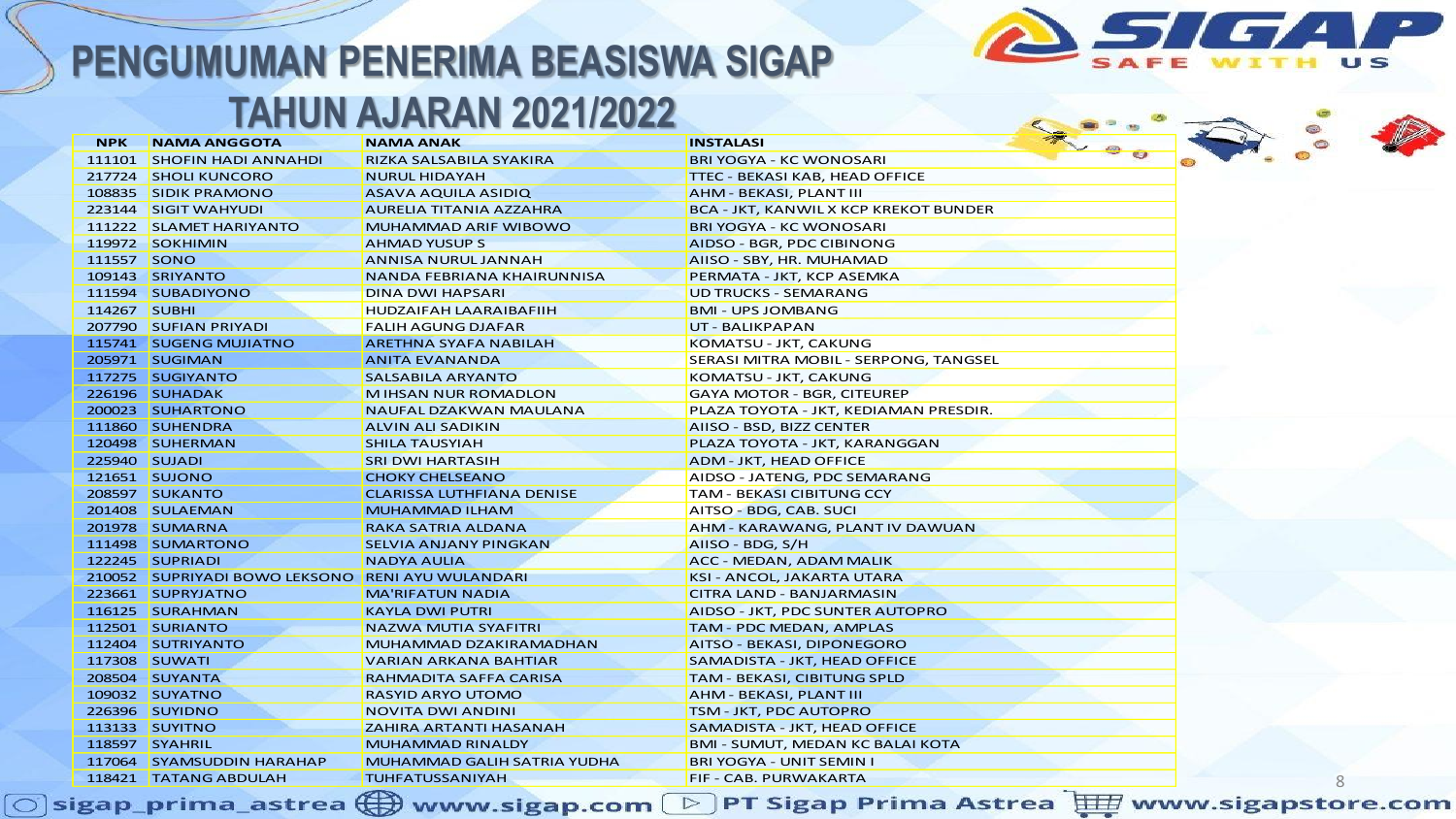

#### **TAHUN AJARAN 2021/2022**

|               |                                                  | <u>IANUN AJAKAN ZUZIIZUZZ</u>      |                                              |  |   |  |
|---------------|--------------------------------------------------|------------------------------------|----------------------------------------------|--|---|--|
| <b>NPK</b>    | <b>NAMA ANGGOTA</b>                              | <b>NAMA ANAK</b>                   | <b>INSTALASI</b>                             |  |   |  |
|               | 111101 SHOFIN HADI ANNAHDI                       | RIZKA SALSABILA SYAKIRA            | <b>BRI YOGYA - KC WONOSARI</b>               |  |   |  |
|               | 217724 SHOLI KUNCORO                             | <b>NURUL HIDAYAH</b>               | TTEC - BEKASI KAB, HEAD OFFICE               |  |   |  |
|               | 108835 SIDIK PRAMONO                             | <b>ASAVA AQUILA ASIDIQ</b>         | AHM - BEKASI, PLANT III                      |  |   |  |
|               | 223144 SIGIT WAHYUDI                             | <b>AURELIA TITANIA AZZAHRA</b>     | <b>BCA - JKT, KANWIL X KCP KREKOT BUNDER</b> |  |   |  |
|               | 111222 SLAMET HARIYANTO                          | <b>MUHAMMAD ARIF WIBOWO</b>        | <b>BRI YOGYA - KC WONOSARI</b>               |  |   |  |
|               | 119972 SOKHIMIN                                  | <b>AHMAD YUSUP S</b>               | AIDSO - BGR, PDC CIBINONG                    |  |   |  |
| 111557 SONO   |                                                  | <b>ANNISA NURUL JANNAH</b>         | AIISO - SBY, HR. MUHAMAD                     |  |   |  |
|               | 109143 SRIYANTO                                  | NANDA FEBRIANA KHAIRUNNISA         | PERMATA - JKT, KCP ASEMKA                    |  |   |  |
|               | 111594 SUBADIYONO                                | <b>DINA DWI HAPSARI</b>            | <b>UD TRUCKS - SEMARANG</b>                  |  |   |  |
| 114267 SUBHI  |                                                  | <b>HUDZAIFAH LAARAIBAFIIH</b>      | <b>BMI - UPS JOMBANG</b>                     |  |   |  |
|               | 207790 SUFIAN PRIYADI                            | <b>FALIH AGUNG DJAFAR</b>          | UT - BALIKPAPAN                              |  |   |  |
|               | 115741 SUGENG MUJIATNO                           | <b>ARETHNA SYAFA NABILAH</b>       | KOMATSU - JKT, CAKUNG                        |  |   |  |
|               | 205971 SUGIMAN                                   | <b>ANITA EVANANDA</b>              | SERASI MITRA MOBIL - SERPONG, TANGSEL        |  |   |  |
|               | 117275 SUGIYANTO                                 | <b>SALSABILA ARYANTO</b>           | KOMATSU - JKT, CAKUNG                        |  |   |  |
|               | 226196 SUHADAK                                   | <b>MIHSAN NUR ROMADLON</b>         | <b>GAYA MOTOR - BGR, CITEUREP</b>            |  |   |  |
|               | 200023 SUHARTONO                                 | NAUFAL DZAKWAN MAULANA             | PLAZA TOYOTA - JKT, KEDIAMAN PRESDIR.        |  |   |  |
|               | 111860 SUHENDRA                                  | <b>ALVIN ALI SADIKIN</b>           | AIISO - BSD, BIZZ CENTER                     |  |   |  |
|               | 120498 SUHERMAN                                  | <b>SHILA TAUSYIAH</b>              | PLAZA TOYOTA - JKT, KARANGGAN                |  |   |  |
| 225940 SUJADI |                                                  | <b>SRI DWI HARTASIH</b>            | ADM - JKT, HEAD OFFICE                       |  |   |  |
|               | 121651 SUJONO                                    | <b>CHOKY CHELSEANO</b>             | AIDSO - JATENG, PDC SEMARANG                 |  |   |  |
|               | 208597 SUKANTO                                   | <b>CLARISSA LUTHFIANA DENISE</b>   | <b>TAM - BEKASI CIBITUNG CCY</b>             |  |   |  |
|               | 201408 SULAEMAN                                  | <b>MUHAMMAD ILHAM</b>              | AITSO - BDG, CAB. SUCI                       |  |   |  |
|               | 201978 SUMARNA                                   | RAKA SATRIA ALDANA                 | AHM - KARAWANG, PLANT IV DAWUAN              |  |   |  |
|               | 111498 SUMARTONO                                 | <b>SELVIA ANJANY PINGKAN</b>       | AIISO - BDG, S/H                             |  |   |  |
|               | 122245 SUPRIADI                                  | <b>NADYA AULIA</b>                 | ACC - MEDAN, ADAM MALIK                      |  |   |  |
|               | 210052 SUPRIYADI BOWO LEKSONO RENI AYU WULANDARI |                                    | <b>KSI - ANCOL, JAKARTA UTARA</b>            |  |   |  |
|               | 223661 SUPRYJATNO                                | <b>MA'RIFATUN NADIA</b>            | <b>CITRA LAND - BANJARMASIN</b>              |  |   |  |
|               | 116125 SURAHMAN                                  | <b>KAYLA DWI PUTRI</b>             | AIDSO - JKT, PDC SUNTER AUTOPRO              |  |   |  |
|               | 112501 SURIANTO                                  | <b>NAZWA MUTIA SYAFITRI</b>        | TAM - PDC MEDAN, AMPLAS                      |  |   |  |
|               | 112404 SUTRIYANTO                                | MUHAMMAD DZAKIRAMADHAN             | AITSO - BEKASI, DIPONEGORO                   |  |   |  |
|               | 117308 SUWATI                                    | <b>VARIAN ARKANA BAHTIAR</b>       | SAMADISTA - JKT, HEAD OFFICE                 |  |   |  |
|               | 208504 SUYANTA                                   | <b>RAHMADITA SAFFA CARISA</b>      | <b>TAM - BEKASI, CIBITUNG SPLD</b>           |  |   |  |
|               | 109032 SUYATNO                                   | <b>RASYID ARYO UTOMO</b>           | AHM - BEKASI, PLANT III                      |  |   |  |
|               | 226396 SUYIDNO                                   | <b>NOVITA DWI ANDINI</b>           | TSM - JKT, PDC AUTOPRO                       |  |   |  |
|               | 113133 SUYITNO                                   | <b>ZAHIRA ARTANTI HASANAH</b>      | SAMADISTA - JKT, HEAD OFFICE                 |  |   |  |
|               | 118597 SYAHRIL                                   | <b>MUHAMMAD RINALDY</b>            | <b>BMI - SUMUT, MEDAN KC BALAI KOTA</b>      |  |   |  |
|               | 117064 SYAMSUDDIN HARAHAP                        | <b>MUHAMMAD GALIH SATRIA YUDHA</b> | BRI YOGYA - UNIT SEMIN I                     |  |   |  |
|               | 118421 TATANG ABDULAH                            | <b>TUHFATUSSANIYAH</b>             | FIF - CAB. PURWAKARTA                        |  | 8 |  |
|               |                                                  |                                    |                                              |  |   |  |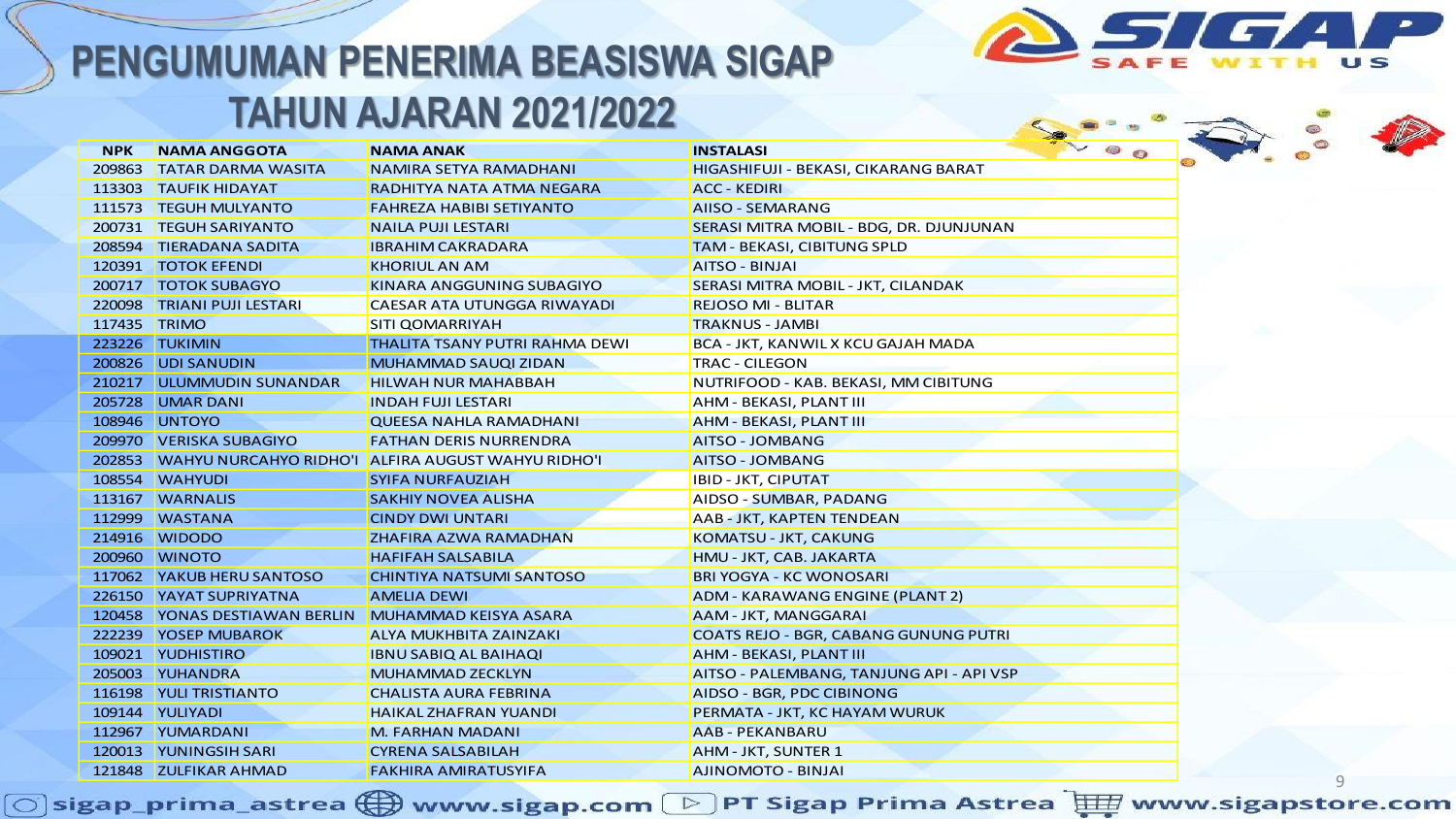

| <b>NPK</b>   | <b>NAMA ANGGOTA</b>                                 | <b>NAMA ANAK</b>                                          | $\bullet$ $\circ$<br><b>INSTALASI</b>        |
|--------------|-----------------------------------------------------|-----------------------------------------------------------|----------------------------------------------|
| 209863       | <b>TATAR DARMA WASITA</b>                           | NAMIRA SETYA RAMADHANI                                    | HIGASHIFUJI - BEKASI, CIKARANG BARAT         |
| 113303       | <b>TAUFIK HIDAYAT</b>                               | RADHITYA NATA ATMA NEGARA                                 | <b>ACC - KEDIRI</b>                          |
| 111573       | <b>TEGUH MULYANTO</b>                               | <b>FAHREZA HABIBI SETIYANTO</b>                           | <b>AIISO - SEMARANG</b>                      |
| 200731       | <b>TEGUH SARIYANTO</b>                              | <b>NAILA PUJI LESTARI</b>                                 | SERASI MITRA MOBIL - BDG, DR. DJUNJUNAN      |
| 208594       | <b>TIERADANA SADITA</b>                             | <b>IBRAHIM CAKRADARA</b>                                  | <b>TAM - BEKASI, CIBITUNG SPLD</b>           |
| 120391       | <b>TOTOK EFENDI</b>                                 | <b>KHORIUL AN AM</b>                                      | <b>AITSO - BINJAI</b>                        |
|              | 200717   TOTOK SUBAGYO                              | KINARA ANGGUNING SUBAGIYO                                 | SERASI MITRA MOBIL - JKT, CILANDAK           |
| 220098       | <b>TRIANI PUJI LESTARI</b>                          | CAESAR ATA UTUNGGA RIWAYADI                               | <b>REJOSO MI - BLITAR</b>                    |
| 117435 TRIMO |                                                     | <b>SITI QOMARRIYAH</b>                                    | <b>TRAKNUS - JAMBI</b>                       |
|              | 223226 TUKIMIN                                      | THALITA TSANY PUTRI RAHMA DEWI                            | BCA - JKT, KANWIL X KCU GAJAH MADA           |
|              | 200826 UDI SANUDIN                                  | MUHAMMAD SAUQI ZIDAN                                      | <b>TRAC - CILEGON</b>                        |
|              | 210217 ULUMMUDIN SUNANDAR                           | <b>HILWAH NUR MAHABBAH</b>                                | NUTRIFOOD - KAB. BEKASI, MM CIBITUNG         |
|              | 205728 UMAR DANI                                    | <b>INDAH FUJI LESTARI</b>                                 | AHM - BEKASI, PLANT III                      |
|              | 108946 UNTOYO                                       | <b>QUEESA NAHLA RAMADHANI</b>                             | <b>AHM - BEKASI, PLANT III</b>               |
|              | 209970 VERISKA SUBAGIYO                             | <b>FATHAN DERIS NURRENDRA</b>                             | <b>AITSO - JOMBANG</b>                       |
|              |                                                     | 202853 WAHYU NURCAHYO RIDHO'I ALFIRA AUGUST WAHYU RIDHO'I | <b>AITSO - JOMBANG</b>                       |
|              | 108554 WAHYUDI                                      | <b>SYIFA NURFAUZIAH</b>                                   | <b>IBID - JKT, CIPUTAT</b>                   |
|              | 113167 WARNALIS                                     | <b>SAKHIY NOVEA ALISHA</b>                                | AIDSO - SUMBAR, PADANG                       |
| 112999       | <b>WASTANA</b>                                      | <b>CINDY DWI UNTARI</b>                                   | <b>AAB - JKT, KAPTEN TENDEAN</b>             |
|              | 214916 <b>WIDODO</b>                                | <b>ZHAFIRA AZWA RAMADHAN</b>                              | <b>KOMATSU - JKT, CAKUNG</b>                 |
|              | 200960 WINOTO                                       | <b>HAFIFAH SALSABILA</b>                                  | HMU - JKT, CAB. JAKARTA                      |
|              | 117062 YAKUB HERU SANTOSO                           | <b>CHINTIYA NATSUMI SANTOSO</b>                           | <b>BRI YOGYA - KC WONOSARI</b>               |
|              | 226150 YAYAT SUPRIYATNA                             | <b>AMELIA DEWI</b>                                        | ADM - KARAWANG ENGINE (PLANT 2)              |
|              | 120458 YONAS DESTIAWAN BERLIN MUHAMMAD KEISYA ASARA |                                                           | <b>AAM-JKT, MANGGARAI</b>                    |
|              | 222239 YOSEP MUBAROK                                | ALYA MUKHBITA ZAINZAKI                                    | <b>COATS REJO - BGR, CABANG GUNUNG PUTRI</b> |
|              | 109021 YUDHISTIRO                                   | <b>IBNU SABIQ AL BAIHAQI</b>                              | <b>AHM - BEKASI, PLANT III</b>               |
|              | 205003 YUHANDRA                                     | MUHAMMAD ZECKLYN                                          | AITSO - PALEMBANG, TANJUNG API - API VSP     |
|              | 116198 YULI TRISTIANTO                              | <b>CHALISTA AURA FEBRINA</b>                              | AIDSO - BGR, PDC CIBINONG                    |
|              | 109144 YULIYADI                                     | <b>HAIKAL ZHAFRAN YUANDI</b>                              | PERMATA - JKT, KC HAYAM WURUK                |
|              | 112967 YUMARDANI                                    | M. FARHAN MADANI                                          | <b>AAB - PEKANBARU</b>                       |
|              | 120013 YUNINGSIH SARI                               | <b>CYRENA SALSABILAH</b>                                  | <b>AHM - JKT, SUNTER 1</b>                   |
|              | 121848 ZULFIKAR AHMAD                               | <b>FAKHIRA AMIRATUSYIFA</b>                               | AJINOMOTO - BINJAI                           |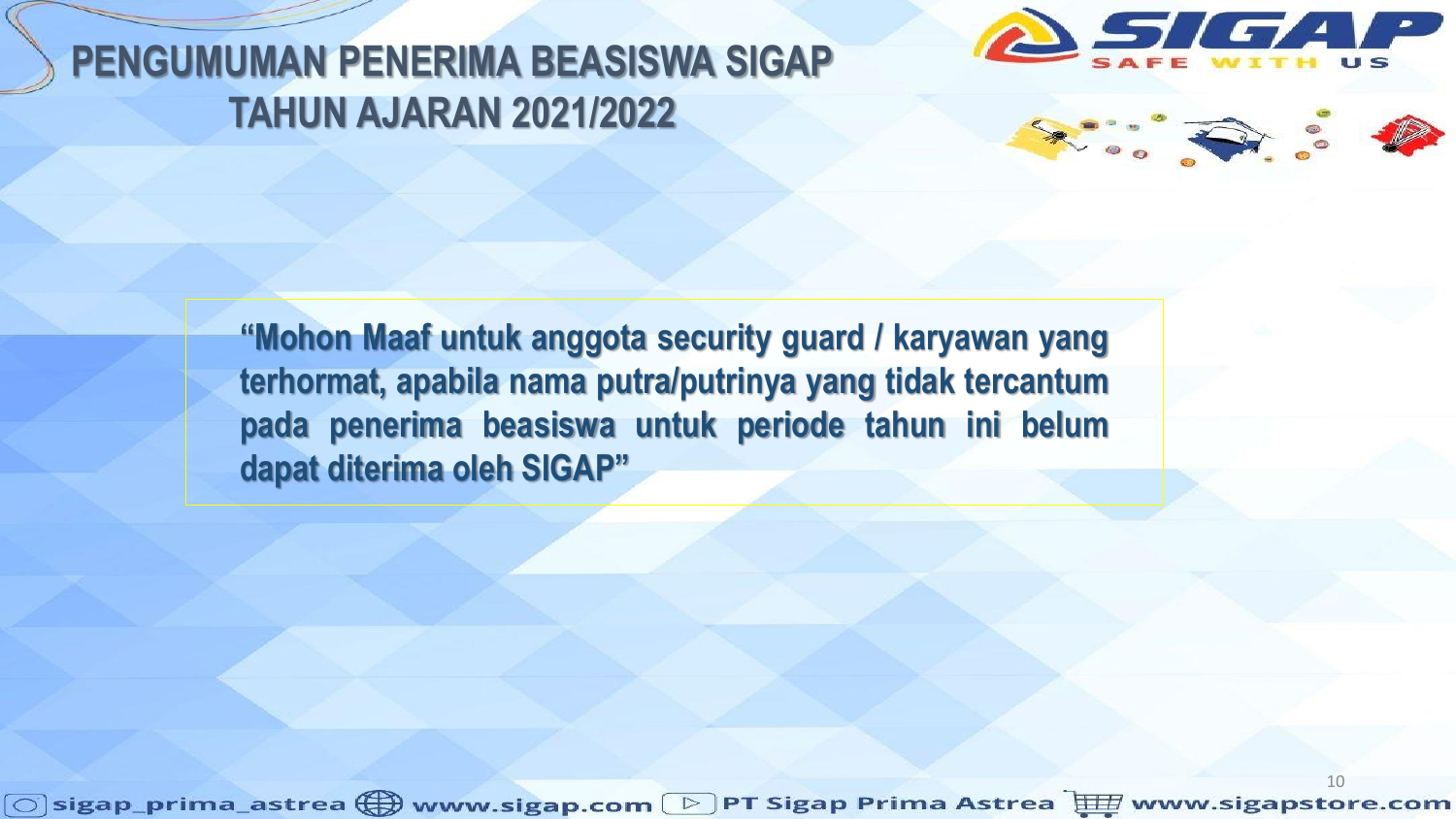



**"Mohon Maaf untuk anggota security guard / karyawan yang terhormat, apabila nama putra/putrinya yang tidak tercantum pada penerima beasiswa untuk periode tahun ini belum dapat diterima oleh SIGAP"**